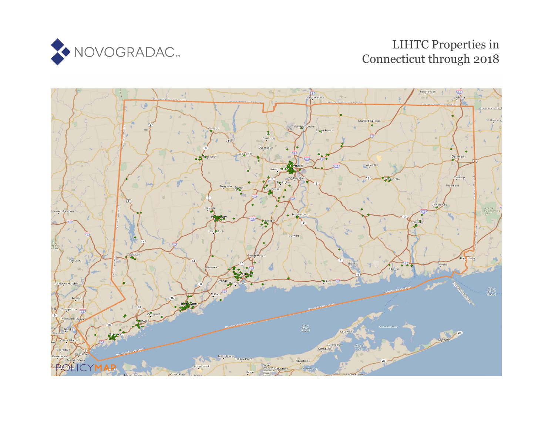

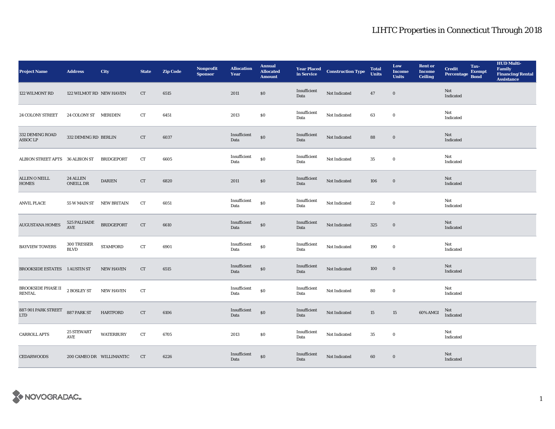| <b>Project Name</b>                                          | <b>Address</b>                      | City                           | <b>State</b> | <b>Zip Code</b> | Nonprofit<br><b>Sponsor</b> | <b>Allocation</b><br>Year | <b>Annual</b><br><b>Allocated</b><br><b>Amount</b> |                      | <b>Year Placed Construction Type</b><br>in Service | <b>Total</b><br><b>Units</b> | Low<br><b>Income</b><br><b>Units</b> | <b>Rent or</b><br><b>Income</b><br><b>Ceiling</b> | <b>Credit</b><br>Percentage | Tax-<br><b>Exempt</b><br><b>Bond</b> | <b>HUD Multi-</b><br><b>Family<br/>Financing/Rental</b><br><b>Assistance</b> |
|--------------------------------------------------------------|-------------------------------------|--------------------------------|--------------|-----------------|-----------------------------|---------------------------|----------------------------------------------------|----------------------|----------------------------------------------------|------------------------------|--------------------------------------|---------------------------------------------------|-----------------------------|--------------------------------------|------------------------------------------------------------------------------|
| 122 WILMONT RD                                               | 122 WILMOT RD NEW HAVEN             |                                | CT           | 6515            |                             | 2011                      | $\$0$                                              | Insufficient<br>Data | Not Indicated                                      | $\bf 47$                     | $\mathbf 0$                          |                                                   | Not<br>Indicated            |                                      |                                                                              |
| <b>24 COLONY STREET</b>                                      | 24 COLONY ST MERIDEN                |                                | CT           | 6451            |                             | 2013                      | \$0                                                | Insufficient<br>Data | Not Indicated                                      | 63                           | $\bf{0}$                             |                                                   | Not<br>Indicated            |                                      |                                                                              |
| 332 DEMING ROAD<br><b>ASSOC LP</b>                           | 332 DEMING RD BERLIN                |                                | CT           | 6037            |                             | Insufficient<br>Data      | $\boldsymbol{\mathsf{S}}\boldsymbol{\mathsf{O}}$   | Insufficient<br>Data | Not Indicated                                      | 88                           | $\boldsymbol{0}$                     |                                                   | Not<br>Indicated            |                                      |                                                                              |
| ALBION STREET APTS 36 ALBION ST                              |                                     | <b>BRIDGEPORT</b>              | CT           | 6605            |                             | Insufficient<br>Data      | \$0                                                | Insufficient<br>Data | Not Indicated                                      | 35                           | $\bf{0}$                             |                                                   | Not<br>Indicated            |                                      |                                                                              |
| <b>ALLEN O NEILL</b><br><b>HOMES</b>                         | 24 ALLEN<br>ONEILL DR               | $\mathop{\sf DARIEN}\nolimits$ | ${\rm CT}$   | 6820            |                             | 2011                      | $\$0$                                              | Insufficient<br>Data | Not Indicated                                      | 106                          | $\mathbf 0$                          |                                                   | Not<br>Indicated            |                                      |                                                                              |
| <b>ANVIL PLACE</b>                                           | 55 W MAIN ST NEW BRITAIN            |                                | CT           | 6051            |                             | Insufficient<br>Data      | \$0                                                | Insufficient<br>Data | Not Indicated                                      | 22                           | $\bf{0}$                             |                                                   | Not<br>Indicated            |                                      |                                                                              |
| <b>AUGUSTANA HOMES</b>                                       | 525 PALISADE<br>AVE                 | <b>BRIDGEPORT</b>              | CT           | 6610            |                             | Insufficient<br>Data      | $\$0$                                              | Insufficient<br>Data | Not Indicated                                      | 325                          | $\boldsymbol{0}$                     |                                                   | Not<br>Indicated            |                                      |                                                                              |
| <b>BAYVIEW TOWERS</b>                                        | $300\ {\rm TRESSER}$<br><b>BLVD</b> | <b>STAMFORD</b>                | CT           | 6901            |                             | Insufficient<br>Data      | \$0                                                | Insufficient<br>Data | $\hbox{\bf Not Indicated}$                         | 190                          | $\mathbf 0$                          |                                                   | Not<br>Indicated            |                                      |                                                                              |
| <b>BROOKSIDE ESTATES 1 AUSTIN ST</b>                         |                                     | <b>NEW HAVEN</b>               | CT           | 6515            |                             | Insufficient<br>Data      | $\$0$                                              | Insufficient<br>Data | Not Indicated                                      | 100                          | $\boldsymbol{0}$                     |                                                   | Not<br>Indicated            |                                      |                                                                              |
| <b>BROOKSIDE PHASE II</b> 2 BOSLEY ST<br><b>RENTAL</b>       |                                     | <b>NEW HAVEN</b>               | ${\rm CT}$   |                 |                             | Insufficient<br>Data      | \$0                                                | Insufficient<br>Data | Not Indicated                                      | 80                           | $\boldsymbol{0}$                     |                                                   | Not<br>Indicated            |                                      |                                                                              |
| 887-901 PARK STREET 887 PARK ST<br>$\ensuremath{\text{LTD}}$ |                                     | <b>HARTFORD</b>                | CT           | 6106            |                             | Insufficient<br>Data      | $\$0$                                              | Insufficient<br>Data | Not Indicated                                      | 15                           | 15                                   | 60% AMGI                                          | Not<br>Indicated            |                                      |                                                                              |
| <b>CARROLL APTS</b>                                          | 25 STEWART<br>$\operatorname{AVE}$  | <b>WATERBURY</b>               | CT           | 6705            |                             | 2013                      | $\$0$                                              | Insufficient<br>Data | Not Indicated                                      | 35                           | $\mathbf 0$                          |                                                   | Not<br>Indicated            |                                      |                                                                              |
| <b>CEDARWOODS</b>                                            | 200 CAMEO DR WILLIMANTIC            |                                | <b>CT</b>    | 6226            |                             | Insufficient<br>Data      | $\$0$                                              | Insufficient<br>Data | Not Indicated                                      | 60                           | $\bf{0}$                             |                                                   | Not<br>Indicated            |                                      |                                                                              |

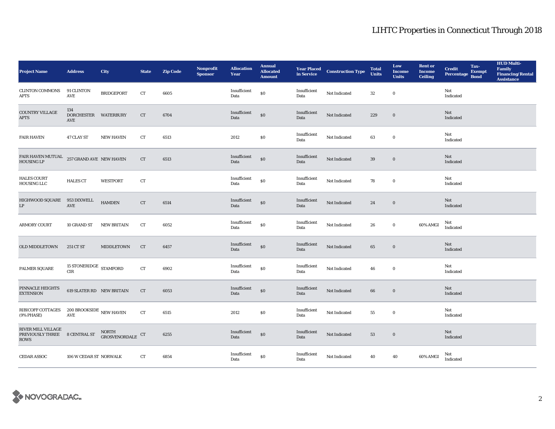| <b>Project Name</b>                                   | <b>Address</b>                      | <b>City</b>                      | <b>State</b> | <b>Zip Code</b> | Nonprofit<br><b>Sponsor</b> | <b>Allocation</b><br>Year | <b>Annual</b><br><b>Allocated</b><br><b>Amount</b> |                      | <b>Year Placed Construction Type</b><br>in Service | <b>Total</b><br><b>Units</b> | Low<br><b>Income</b><br><b>Units</b> | <b>Rent or</b><br><b>Income</b><br><b>Ceiling</b> | <b>Credit</b><br>Percentage | Tax-<br><b>Exempt</b><br><b>Bond</b> | <b>HUD Multi-</b><br>Family<br>Financing/Rental<br><b>Assistance</b> |
|-------------------------------------------------------|-------------------------------------|----------------------------------|--------------|-----------------|-----------------------------|---------------------------|----------------------------------------------------|----------------------|----------------------------------------------------|------------------------------|--------------------------------------|---------------------------------------------------|-----------------------------|--------------------------------------|----------------------------------------------------------------------|
| <b>CLINTON COMMONS</b><br>APTS                        | 91 CLINTON<br>$\operatorname{AVE}$  | <b>BRIDGEPORT</b>                | CT           | 6605            |                             | Insufficient<br>Data      | \$0                                                | Insufficient<br>Data | Not Indicated                                      | $32\,$                       | $\bf{0}$                             |                                                   | Not<br>Indicated            |                                      |                                                                      |
| COUNTRY VILLAGE<br><b>APTS</b>                        | 134<br>DORCHESTER WATERBURY<br>AVE  |                                  | ${\rm CT}$   | 6704            |                             | Insufficient<br>Data      | $\$0$                                              | Insufficient<br>Data | Not Indicated                                      | 229                          | $\bf{0}$                             |                                                   | Not<br>Indicated            |                                      |                                                                      |
| <b>FAIR HAVEN</b>                                     | 47 CLAY ST                          | <b>NEW HAVEN</b>                 | CT           | 6513            |                             | 2012                      | \$0\$                                              | Insufficient<br>Data | Not Indicated                                      | 63                           | $\bf{0}$                             |                                                   | Not<br>Indicated            |                                      |                                                                      |
| FAIR HAVEN MUTUAL 257 GRAND AVE NEW HAVEN HOUSING LP  |                                     |                                  | ${\rm CT}$   | 6513            |                             | Insufficient<br>Data      | $\$0$                                              | Insufficient<br>Data | Not Indicated                                      | 39                           | $\boldsymbol{0}$                     |                                                   | Not<br>Indicated            |                                      |                                                                      |
| <b>HALES COURT</b><br>HOUSING LLC                     | <b>HALES CT</b>                     | <b>WESTPORT</b>                  | CT           |                 |                             | Insufficient<br>Data      | $\$0$                                              | Insufficient<br>Data | Not Indicated                                      | 78                           | $\bf{0}$                             |                                                   | Not<br>Indicated            |                                      |                                                                      |
| HIGHWOOD SQUARE<br>LP                                 | 953 DIXWELL<br>AVE                  | <b>HAMDEN</b>                    | CT           | 6514            |                             | Insufficient<br>Data      | \$0                                                | Insufficient<br>Data | Not Indicated                                      | 24                           | $\mathbf 0$                          |                                                   | Not<br>Indicated            |                                      |                                                                      |
| <b>ARMORY COURT</b>                                   | 10 GRAND ST                         | <b>NEW BRITAIN</b>               | CT           | 6052            |                             | Insufficient<br>Data      | ${\bf S0}$                                         | Insufficient<br>Data | Not Indicated                                      | 26                           | $\bf{0}$                             | 60% AMGI                                          | Not<br>Indicated            |                                      |                                                                      |
| <b>OLD MIDDLETOWN</b>                                 | 251 CT ST                           | <b>MIDDLETOWN</b>                | <b>CT</b>    | 6457            |                             | Insufficient<br>Data      | \$0                                                | Insufficient<br>Data | Not Indicated                                      | 65                           | $\bf{0}$                             |                                                   | Not<br>Indicated            |                                      |                                                                      |
| PALMER SQUARE                                         | 15 STONERIDGE STAMFORD<br>CIR       |                                  | ${\rm CT}$   | 6902            |                             | Insufficient<br>Data      | $\$0$                                              | Insufficient<br>Data | Not Indicated                                      | 46                           | $\bf{0}$                             |                                                   | Not<br>Indicated            |                                      |                                                                      |
| PINNACLE HEIGHTS<br><b>EXTENSION</b>                  | 619 SLATER RD NEW BRITAIN           |                                  | ${\rm CT}$   | 6053            |                             | Insufficient<br>Data      | $\$0$                                              | Insufficient<br>Data | Not Indicated                                      | $\bf{66}$                    | $\bf{0}$                             |                                                   | Not<br>Indicated            |                                      |                                                                      |
| RIBICOFF COTTAGES<br>(9% PHASE)                       | 200 BROOKSIDE $\,$ NEW HAVEN<br>AVE |                                  | CT           | 6515            |                             | 2012                      | \$0\$                                              | Insufficient<br>Data | Not Indicated                                      | 55                           | $\boldsymbol{0}$                     |                                                   | Not<br>Indicated            |                                      |                                                                      |
| RIVER MILL VILLAGE<br>PREVIOUSLY THREE<br><b>ROWS</b> | <b>8 CENTRAL ST</b>                 | NORTH GROSVENORDALE $\,$ CT $\,$ |              | 6255            |                             | Insufficient<br>Data      | $\$0$                                              | Insufficient<br>Data | Not Indicated                                      | 53                           | $\boldsymbol{0}$                     |                                                   | Not<br>Indicated            |                                      |                                                                      |
| <b>CEDAR ASSOC</b>                                    | 106 W CEDAR ST NORWALK              |                                  | CT           | 6854            |                             | Insufficient<br>Data      | \$0                                                | Insufficient<br>Data | Not Indicated                                      | 40                           | 40                                   | 60% AMGI                                          | Not<br>Indicated            |                                      |                                                                      |

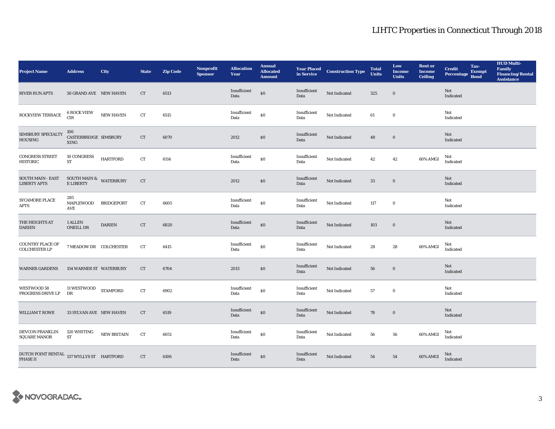| <b>Project Name</b>                                          | <b>Address</b>                       | City               | <b>State</b> | <b>Zip Code</b> | Nonprofit<br><b>Sponsor</b> | <b>Allocation</b><br>Year | <b>Annual</b><br><b>Allocated</b><br><b>Amount</b> | <b>Year Placed<br/>in Service</b> | <b>Construction Type</b> | <b>Total</b><br><b>Units</b> | Low<br><b>Income</b><br><b>Units</b> | <b>Rent or</b><br><b>Income</b><br><b>Ceiling</b> | <b>Credit</b><br>Percentage Bond | Tax-<br>Exempt | <b>HUD Multi-</b><br>Family<br>Financing/Rental<br><b>Assistance</b> |
|--------------------------------------------------------------|--------------------------------------|--------------------|--------------|-----------------|-----------------------------|---------------------------|----------------------------------------------------|-----------------------------------|--------------------------|------------------------------|--------------------------------------|---------------------------------------------------|----------------------------------|----------------|----------------------------------------------------------------------|
| <b>RIVER RUN APTS</b>                                        | 50 GRAND AVE NEW HAVEN               |                    | CT           | 6513            |                             | Insufficient<br>Data      | $\$0$                                              | Insufficient<br>Data              | Not Indicated            | 325                          | $\mathbf 0$                          |                                                   | Not<br>Indicated                 |                |                                                                      |
| ROCKVIEW TERRACE                                             | <b>6 ROCK VIEW</b><br>$\rm CIR$      | <b>NEW HAVEN</b>   | ${\rm CT}$   | 6515            |                             | Insufficient<br>Data      | $\$0$                                              | Insufficient<br>Data              | Not Indicated            | 61                           | $\bf{0}$                             |                                                   | Not<br>Indicated                 |                |                                                                      |
| SIMSBURY SPECIALTY<br><b>HOUSING</b>                         | 100<br>CASTERBRIDGE SIMSBURY<br>XING |                    | CT           | 6070            |                             | 2012                      | $\$0$                                              | Insufficient<br>Data              | Not Indicated            | 48                           | $\bf{0}$                             |                                                   | Not<br>Indicated                 |                |                                                                      |
| <b>CONGRESS STREET</b><br><b>HISTORIC</b>                    | <b>10 CONGRESS</b><br>${\rm ST}$     | <b>HARTFORD</b>    | CT           | 6114            |                             | Insufficient<br>Data      | $\$0$                                              | Insufficient<br>Data              | Not Indicated            | 42                           | 42                                   | 60% AMGI                                          | Not<br>Indicated                 |                |                                                                      |
| <b>SOUTH MAIN - EAST</b><br><b>LIBERTY APTS</b>              | SOUTH MAIN $\&$ WATERBURY E LIBERTY  |                    | CT           |                 |                             | 2012                      | \$0\$                                              | Insufficient<br>Data              | Not Indicated            | 33                           | $\bf{0}$                             |                                                   | Not<br>Indicated                 |                |                                                                      |
| <b>SYCAMORE PLACE</b><br><b>APTS</b>                         | 285<br><b>MAPLEWOOD</b><br>AVE       | <b>BRIDGEPORT</b>  | ${\rm CT}$   | 6605            |                             | Insufficient<br>Data      | $\$0$                                              | Insufficient<br>Data              | Not Indicated            | 117                          | $\bf{0}$                             |                                                   | Not<br>Indicated                 |                |                                                                      |
| THE HEIGHTS AT<br><b>DARIEN</b>                              | 1 ALLEN<br><b>ONEILL DR</b>          | <b>DARIEN</b>      | CT           | 6820            |                             | Insufficient<br>Data      | $\$0$                                              | Insufficient<br>Data              | Not Indicated            | 103                          | $\boldsymbol{0}$                     |                                                   | Not<br>Indicated                 |                |                                                                      |
| <b>COUNTRY PLACE OF</b><br><b>COLCHESTER LP</b>              | 7 MEADOW DR COLCHESTER               |                    | ${\rm CT}$   | 6415            |                             | Insufficient<br>Data      | $\$0$                                              | Insufficient<br>Data              | Not Indicated            | 28                           | 28                                   | 60% AMGI                                          | Not<br>Indicated                 |                |                                                                      |
| <b>WARNER GARDENS</b>                                        | <b>154 WARNER ST WATERBURY</b>       |                    | <b>CT</b>    | 6704            |                             | 2013                      | \$0\$                                              | Insufficient<br>Data              | Not Indicated            | 56                           | $\bf{0}$                             |                                                   | Not<br>Indicated                 |                |                                                                      |
| WESTWOOD 58<br>PROGRESS DRIVE LP                             | 11 WESTWOOD<br>DR                    | <b>STAMFORD</b>    | CT           | 6902            |                             | Insufficient<br>Data      | \$0                                                | Insufficient<br>Data              | Not Indicated            | 57                           | $\bf{0}$                             |                                                   | Not<br>Indicated                 |                |                                                                      |
| <b>WILLIAM T ROWE</b>                                        | 33 SYLVAN AVE NEW HAVEN              |                    | CT           | 6519            |                             | Insufficient<br>Data      | \$0                                                | Insufficient<br>Data              | Not Indicated            | 78                           | $\boldsymbol{0}$                     |                                                   | Not<br>Indicated                 |                |                                                                      |
| DEVCON FRANKLIN<br><b>SQUARE MANOR</b>                       | 120 WHITING<br><b>ST</b>             | <b>NEW BRITAIN</b> | CT           | 6051            |                             | Insufficient<br>Data      | $\$0$                                              | Insufficient<br>Data              | Not Indicated            | 56                           | 56                                   | 60% AMGI                                          | Not<br>Indicated                 |                |                                                                      |
| DUTCH POINT RENTAL $\,$ 137 WYLLYS ST $\,$ HARTFORD PHASE II |                                      |                    | CT           | 6106            |                             | Insufficient<br>Data      | \$0                                                | Insufficient<br>Data              | Not Indicated            | 54                           | ${\bf 54}$                           | 60% AMGI                                          | Not<br>Indicated                 |                |                                                                      |

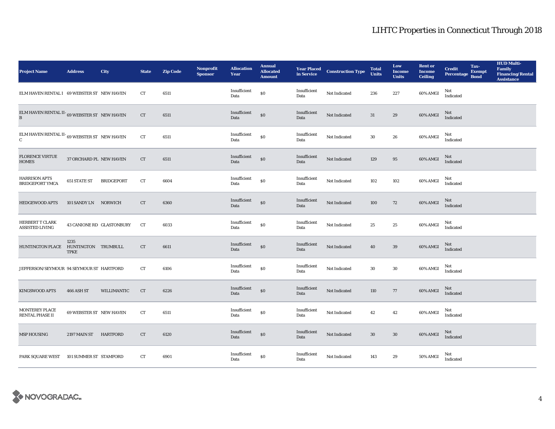| <b>Project Name</b>                                                        | <b>Address</b>          | <b>City</b>               | <b>State</b> | <b>Zip Code</b> | <b>Nonprofit</b><br><b>Sponsor</b> | <b>Allocation</b><br>Year | <b>Annual</b><br><b>Allocated</b><br><b>Amount</b> |                      | <b>Year Placed Construction Type</b><br>in Service | <b>Total</b><br><b>Units</b> | Low<br><b>Income</b><br><b>Units</b> | <b>Rent or</b><br><b>Income</b><br><b>Ceiling</b> | <b>Credit</b><br><b>Percentage</b> | Tax-<br><b>Exempt</b><br><b>Bond</b> | <b>HUD Multi-</b><br><b>Family</b><br><b>Financing/Rental</b><br><b>Assistance</b> |
|----------------------------------------------------------------------------|-------------------------|---------------------------|--------------|-----------------|------------------------------------|---------------------------|----------------------------------------------------|----------------------|----------------------------------------------------|------------------------------|--------------------------------------|---------------------------------------------------|------------------------------------|--------------------------------------|------------------------------------------------------------------------------------|
| ELM HAVEN RENTAL I 69 WEBSTER ST NEW HAVEN                                 |                         |                           | CT           | 6511            |                                    | Insufficient<br>Data      | $\$0$                                              | Insufficient<br>Data | Not Indicated                                      | 236                          | 227                                  | 60% AMGI                                          | Not<br>Indicated                   |                                      |                                                                                    |
| ELM HAVEN RENTAL II- 69 WEBSTER ST NEW HAVEN<br>$\mathbf{B}$               |                         |                           | CT           | 6511            |                                    | Insufficient<br>Data      | \$0                                                | Insufficient<br>Data | Not Indicated                                      | 31                           | 29                                   | 60% AMGI                                          | Not<br>Indicated                   |                                      |                                                                                    |
| ELM HAVEN RENTAL II- $_{\rm 69}$ webster st $\,$ New HAVEN<br>$\mathbf{C}$ |                         |                           | CT           | 6511            |                                    | Insufficient<br>Data      | \$0                                                | Insufficient<br>Data | Not Indicated                                      | $30\,$                       | ${\bf 26}$                           | 60% AMGI                                          | Not<br>Indicated                   |                                      |                                                                                    |
| <b>FLORENCE VIRTUE</b><br><b>HOMES</b>                                     | 37 ORCHARD PL NEW HAVEN |                           | CT           | 6511            |                                    | Insufficient<br>Data      | \$0                                                | Insufficient<br>Data | Not Indicated                                      | 129                          | 95                                   | 60% AMGI                                          | Not<br>Indicated                   |                                      |                                                                                    |
| <b>HARRISON APTS</b><br><b>BRIDGEPORT YMCA</b>                             | 651 STATE ST            | <b>BRIDGEPORT</b>         | CT           | 6604            |                                    | Insufficient<br>Data      | \$0                                                | Insufficient<br>Data | Not Indicated                                      | 102                          | 102                                  | 60% AMGI                                          | Not<br>Indicated                   |                                      |                                                                                    |
| <b>HEDGEWOOD APTS</b>                                                      | 101 SANDY LN NORWICH    |                           | <b>CT</b>    | 6360            |                                    | Insufficient<br>Data      | \$0                                                | Insufficient<br>Data | Not Indicated                                      | 100                          | 72                                   | 60% AMGI                                          | Not<br>Indicated                   |                                      |                                                                                    |
| HERBERT T CLARK<br><b>ASSISTED LIVING</b>                                  |                         | 43 CANIONE RD GLASTONBURY | CT           | 6033            |                                    | Insufficient<br>Data      | \$0                                                | Insufficient<br>Data | Not Indicated                                      | 25                           | 25                                   | 60% AMGI                                          | Not<br>Indicated                   |                                      |                                                                                    |
| HUNTINGTON PLACE HUNTINGTON TRUMBULL                                       | 1235<br><b>TPKE</b>     |                           | CT           | 6611            |                                    | Insufficient<br>Data      | \$0                                                | Insufficient<br>Data | Not Indicated                                      | 40                           | 39                                   | 60% AMGI                                          | Not<br>Indicated                   |                                      |                                                                                    |
| JEFFERSON/SEYMOUR 94 SEYMOUR ST HARTFORD                                   |                         |                           | CT           | 6106            |                                    | Insufficient<br>Data      | $\boldsymbol{\mathsf{S}}\boldsymbol{\mathsf{O}}$   | Insufficient<br>Data | Not Indicated                                      | $30\,$                       | $30\,$                               | 60% AMGI                                          | Not<br>Indicated                   |                                      |                                                                                    |
| KINGSWOOD APTS                                                             | 466 ASH ST              | WILLIMANTIC               | CT           | 6226            |                                    | Insufficient<br>Data      | \$0                                                | Insufficient<br>Data | Not Indicated                                      | 110                          | 77                                   | 60% AMGI                                          | Not<br>Indicated                   |                                      |                                                                                    |
| MONTEREY PLACE<br><b>RENTAL PHASE II</b>                                   | 69 WEBSTER ST NEW HAVEN |                           | CT           | 6511            |                                    | Insufficient<br>Data      | \$0                                                | Insufficient<br>Data | Not Indicated                                      | 42                           | 42                                   | 60% AMGI                                          | Not<br>Indicated                   |                                      |                                                                                    |
| <b>MSP HOUSING</b>                                                         | 2197 MAIN ST            | <b>HARTFORD</b>           | CT           | 6120            |                                    | Insufficient<br>Data      | \$0                                                | Insufficient<br>Data | Not Indicated                                      | 30                           | $30\,$                               | 60% AMGI                                          | Not<br>Indicated                   |                                      |                                                                                    |
| PARK SQUARE WEST                                                           | 101 SUMMER ST STAMFORD  |                           | CT           | 6901            |                                    | Insufficient<br>Data      | \$0                                                | Insufficient<br>Data | Not Indicated                                      | 143                          | 29                                   | 50% AMGI                                          | Not<br>Indicated                   |                                      |                                                                                    |

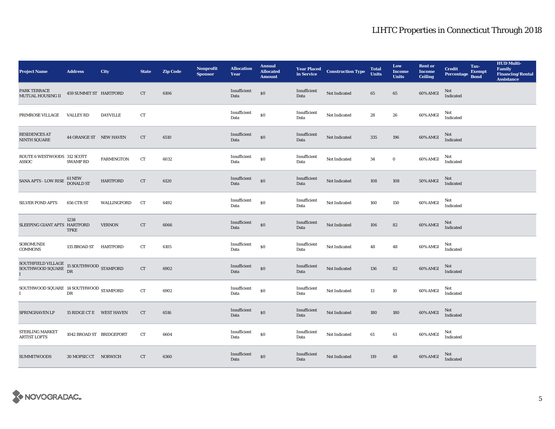| <b>Project Name</b>                                                         | <b>Address</b>           | City              | <b>State</b> | <b>Zip Code</b> | <b>Nonprofit</b><br><b>Sponsor</b> | <b>Allocation</b><br>Year | <b>Annual</b><br><b>Allocated</b><br><b>Amount</b> |                      | <b>Year Placed Construction Type</b><br>in Service | <b>Total</b><br><b>Units</b> | Low<br><b>Income</b><br><b>Units</b> | <b>Rent or</b><br><b>Income</b><br><b>Ceiling</b> | <b>Credit</b><br><b>Percentage</b> | Tax-<br><b>Exempt</b><br><b>Bond</b> | <b>HUD Multi-</b><br><b>Family</b><br><b>Financing/Rental</b><br><b>Assistance</b> |
|-----------------------------------------------------------------------------|--------------------------|-------------------|--------------|-----------------|------------------------------------|---------------------------|----------------------------------------------------|----------------------|----------------------------------------------------|------------------------------|--------------------------------------|---------------------------------------------------|------------------------------------|--------------------------------------|------------------------------------------------------------------------------------|
| PARK TERRACE<br><b>MUTUAL HOUSING II</b>                                    | 459 SUMMIT ST HARTFORD   |                   | CT           | 6106            |                                    | Insufficient<br>Data      | \$0                                                | Insufficient<br>Data | Not Indicated                                      | 65                           | $\bf 65$                             | 60% AMGI                                          | Not<br>Indicated                   |                                      |                                                                                    |
| PRIMROSE VILLAGE                                                            | <b>VALLEY RD</b>         | <b>DAYVILLE</b>   | CT           |                 |                                    | Insufficient<br>Data      | \$0                                                | Insufficient<br>Data | Not Indicated                                      | 28                           | 26                                   | 60% AMGI                                          | Not<br>Indicated                   |                                      |                                                                                    |
| <b>RESIDENCES AT</b><br><b>NINTH SQUARE</b>                                 | 44 ORANGE ST NEW HAVEN   |                   | CT           | 6510            |                                    | Insufficient<br>Data      | \$0                                                | Insufficient<br>Data | Not Indicated                                      | 335                          | 196                                  | 60% AMGI                                          | Not<br>Indicated                   |                                      |                                                                                    |
| ROUTE 6 WESTWOODS 312 SCOTT<br><b>ASSOC</b>                                 | <b>SWAMP RD</b>          | <b>FARMINGTON</b> | CT           | 6032            |                                    | Insufficient<br>Data      | $\$0$                                              | Insufficient<br>Data | Not Indicated                                      | 34                           | $\bf{0}$                             | $60\%$ AMGI                                       | Not<br>Indicated                   |                                      |                                                                                    |
| SANA APTS - LOW RISE                                                        | 61 NEW<br>DONALD ST      | <b>HARTFORD</b>   | CT           | 6120            |                                    | Insufficient<br>Data      | \$0                                                | Insufficient<br>Data | Not Indicated                                      | 108                          | 108                                  | <b>50% AMGI</b>                                   | Not<br>Indicated                   |                                      |                                                                                    |
| <b>SILVER POND APTS</b>                                                     | 656 CTR ST               | WALLINGFORD       | CT           | 6492            |                                    | Insufficient<br>Data      | \$0                                                | Insufficient<br>Data | Not Indicated                                      | 160                          | 150                                  | 60% AMGI                                          | Not<br>Indicated                   |                                      |                                                                                    |
| SLEEPING GIANT APTS HARTFORD                                                | 1238<br><b>TPKE</b>      | <b>VERNON</b>     | CT           | 6066            |                                    | Insufficient<br>Data      | \$0                                                | Insufficient<br>Data | Not Indicated                                      | 106                          | $82\,$                               | 60% AMGI                                          | Not<br>Indicated                   |                                      |                                                                                    |
| SOROMUNDI<br><b>COMMONS</b>                                                 | 135 BROAD ST HARTFORD    |                   | CT           | 6105            |                                    | Insufficient<br>Data      | \$0                                                | Insufficient<br>Data | Not Indicated                                      | 48                           | 48                                   | 60% AMGI                                          | Not<br>Indicated                   |                                      |                                                                                    |
| SOUTHFIELD VILLAGE $$\tt 15$$ SOUTHWOOD $$\tt STAMFORD$$ DR<br>$\mathbf{I}$ |                          |                   | ${\rm CT}$   | 6902            |                                    | Insufficient<br>Data      | \$0                                                | Insufficient<br>Data | Not Indicated                                      | 136                          | 82                                   | 60% AMGI                                          | Not<br>Indicated                   |                                      |                                                                                    |
| SOUTHWOOD SQUARE 14 SOUTHWOOD STAMFORD                                      | DR                       |                   | ${\rm CT}$   | 6902            |                                    | Insufficient<br>Data      | $\$0$                                              | Insufficient<br>Data | Not Indicated                                      | 13                           | 10                                   | 60% AMGI                                          | Not<br>Indicated                   |                                      |                                                                                    |
| SPRINGHAVEN LP                                                              | 15 RIDGE CT E WEST HAVEN |                   | <b>CT</b>    | 6516            |                                    | Insufficient<br>Data      | \$0                                                | Insufficient<br>Data | Not Indicated                                      | 180                          | 180                                  | 60% AMGI                                          | Not<br>Indicated                   |                                      |                                                                                    |
| STERLING MARKET<br><b>ARTIST LOFTS</b>                                      | 1042 BROAD ST BRIDGEPORT |                   | CT           | 6604            |                                    | Insufficient<br>Data      | $\$0$                                              | Insufficient<br>Data | Not Indicated                                      | 61                           | 61                                   | 60% AMGI                                          | Not<br>Indicated                   |                                      |                                                                                    |
| <b>SUMMITWOODS</b>                                                          | 30 MOPSIC CT NORWICH     |                   | CT           | 6360            |                                    | Insufficient<br>Data      | \$0                                                | Insufficient<br>Data | Not Indicated                                      | 119                          | 48                                   | 60% AMGI                                          | Not<br>Indicated                   |                                      |                                                                                    |

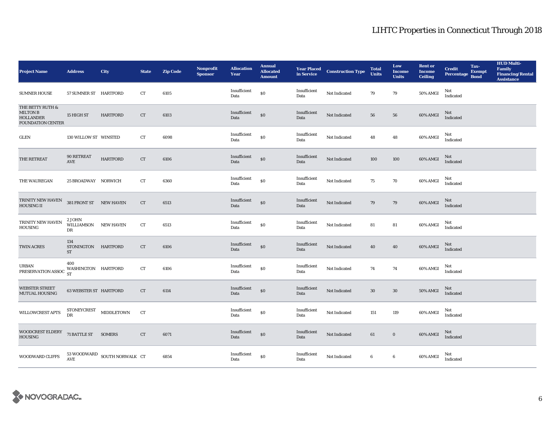| <b>Project Name</b>                                                                 | <b>Address</b>                                                                                   | <b>City</b>                                         | <b>State</b> | <b>Zip Code</b> | Nonprofit<br><b>Sponsor</b> | <b>Allocation</b><br>Year | <b>Annual</b><br><b>Allocated</b><br><b>Amount</b> |                      | <b>Year Placed Construction Type</b><br>in Service | <b>Total</b><br><b>Units</b> | Low<br><b>Income</b><br><b>Units</b> | <b>Rent or</b><br><b>Income</b><br><b>Ceiling</b> | <b>Credit</b><br><b>Percentage</b> | Tax-<br><b>Exempt</b><br><b>Bond</b> | <b>HUD Multi-</b><br>Family<br><b>Financing/Rental</b><br><b>Assistance</b> |
|-------------------------------------------------------------------------------------|--------------------------------------------------------------------------------------------------|-----------------------------------------------------|--------------|-----------------|-----------------------------|---------------------------|----------------------------------------------------|----------------------|----------------------------------------------------|------------------------------|--------------------------------------|---------------------------------------------------|------------------------------------|--------------------------------------|-----------------------------------------------------------------------------|
| <b>SUMNER HOUSE</b>                                                                 | 57 SUMNER ST HARTFORD                                                                            |                                                     | CT           | 6105            |                             | Insufficient<br>Data      | \$0                                                | Insufficient<br>Data | Not Indicated                                      | 79                           | 79                                   | <b>50% AMGI</b>                                   | Not<br>Indicated                   |                                      |                                                                             |
| THE BETTY RUTH &<br><b>MILTON B</b><br><b>HOLLANDER</b><br><b>FOUNDATION CENTER</b> | 15 HIGH ST                                                                                       | <b>HARTFORD</b>                                     | CT           | 6103            |                             | Insufficient<br>Data      | \$0                                                | Insufficient<br>Data | Not Indicated                                      | 56                           | 56                                   | 60% AMGI                                          | Not<br>Indicated                   |                                      |                                                                             |
| GLEN                                                                                | 130 WILLOW ST WINSTED                                                                            |                                                     | ${\rm CT}$   | 6098            |                             | Insufficient<br>Data      | \$0                                                | Insufficient<br>Data | Not Indicated                                      | 48                           | 48                                   | 60% AMGI                                          | Not<br>Indicated                   |                                      |                                                                             |
| THE RETREAT                                                                         | 90 RETREAT<br>AVE                                                                                | <b>HARTFORD</b>                                     | CT           | 6106            |                             | Insufficient<br>Data      | $\$0$                                              | Insufficient<br>Data | Not Indicated                                      | 100                          | 100                                  | $60\%$ AMGI                                       | Not<br>Indicated                   |                                      |                                                                             |
| THE WAUREGAN                                                                        | 25 BROADWAY NORWICH                                                                              |                                                     | CT           | 6360            |                             | Insufficient<br>Data      | \$0                                                | Insufficient<br>Data | Not Indicated                                      | 75                           | 70                                   | 60% AMGI                                          | Not<br>Indicated                   |                                      |                                                                             |
| TRINITY NEW HAVEN<br><b>HOUSING II</b>                                              | 381 FRONT ST NEW HAVEN                                                                           |                                                     | CT           | 6513            |                             | Insufficient<br>Data      | $\$0$                                              | Insufficient<br>Data | Not Indicated                                      | 79                           | 79                                   | 60% AMGI                                          | Not<br>Indicated                   |                                      |                                                                             |
| TRINITY NEW HAVEN<br><b>HOUSING</b>                                                 | 2 JOHN<br>WILLIAMSON<br>DR                                                                       | <b>NEW HAVEN</b>                                    | CT           | 6513            |                             | Insufficient<br>Data      | $\$0$                                              | Insufficient<br>Data | Not Indicated                                      | 81                           | 81                                   | 60% AMGI                                          | Not<br>Indicated                   |                                      |                                                                             |
| TWIN ACRES                                                                          | 134<br>STONINGTON HARTFORD<br>ST                                                                 |                                                     | CT           | 6106            |                             | Insufficient<br>Data      | $\$0$                                              | Insufficient<br>Data | Not Indicated                                      | 40                           | 40                                   | 60% AMGI                                          | Not<br>Indicated                   |                                      |                                                                             |
| URBAN<br>PRESERVATION ASSOC                                                         | 400<br>WASHINGTON HARTFORD<br><b>ST</b>                                                          |                                                     | CT           | 6106            |                             | Insufficient<br>Data      | $\boldsymbol{\mathsf{S}}\boldsymbol{\mathsf{O}}$   | Insufficient<br>Data | Not Indicated                                      | 74                           | 74                                   | 60% AMGI                                          | Not<br>Indicated                   |                                      |                                                                             |
| <b>WEBSTER STREET</b><br><b>MUTUAL HOUSING</b>                                      | <b>63 WEBSTER ST HARTFORD</b>                                                                    |                                                     | CT           | 6114            |                             | Insufficient<br>Data      | $\$0$                                              | Insufficient<br>Data | Not Indicated                                      | 30                           | $30\,$                               | $50\%$ AMGI                                       | Not<br>Indicated                   |                                      |                                                                             |
| <b>WILLOWCREST APTS</b>                                                             | $\begin{minipage}{.4\linewidth} \textbf{STONEYCREST} & \textbf{MIDDLETOWN} \end{minipage}$<br>DR |                                                     | CT           |                 |                             | Insufficient<br>Data      | $\$0$                                              | Insufficient<br>Data | Not Indicated                                      | 151                          | 119                                  | 60% AMGI                                          | Not<br>Indicated                   |                                      |                                                                             |
| WOODCREST ELDERY<br><b>HOUSING</b>                                                  | 71 BATTLE ST SOMERS                                                                              |                                                     | <b>CT</b>    | 6071            |                             | Insufficient<br>Data      | $\$0$                                              | Insufficient<br>Data | Not Indicated                                      | 61                           | $\bf{0}$                             | 60% AMGI                                          | Not<br>Indicated                   |                                      |                                                                             |
| <b>WOODWARD CLIFFS</b>                                                              |                                                                                                  | $53\,$ WOODWARD $\,$ SOUTH NORWALK $\,$ CT $\,$ AVE |              | 6854            |                             | Insufficient<br>Data      | $\$0$                                              | Insufficient<br>Data | Not Indicated                                      | 6                            | $\bf 6$                              | 60% AMGI                                          | Not<br>Indicated                   |                                      |                                                                             |

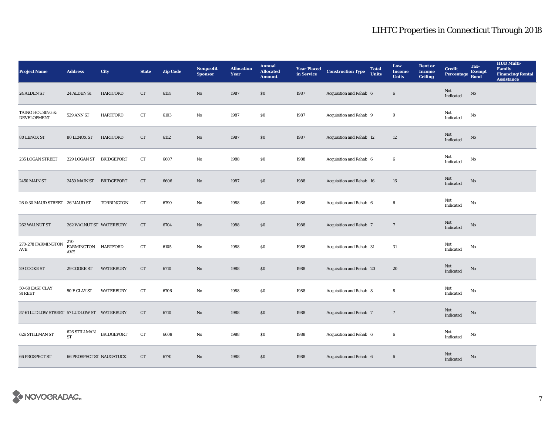| <b>Project Name</b>                        | <b>Address</b>                    | City              | <b>State</b> | <b>Zip Code</b> | Nonprofit<br><b>Sponsor</b> | <b>Allocation</b><br>Year | <b>Annual</b><br><b>Allocated</b><br><b>Amount</b> | <b>Year Placed<br/>in Service</b> | <b>Construction Type</b> | <b>Total</b><br><b>Units</b> | Low<br><b>Income</b><br><b>Units</b> | <b>Rent or</b><br><b>Income</b><br><b>Ceiling</b> | <b>Credit</b><br><b>Percentage</b> | Tax-<br><b>Exempt</b><br><b>Bond</b> | <b>HUD Multi-</b><br>Family<br><b>Financing/Rental</b><br><b>Assistance</b> |
|--------------------------------------------|-----------------------------------|-------------------|--------------|-----------------|-----------------------------|---------------------------|----------------------------------------------------|-----------------------------------|--------------------------|------------------------------|--------------------------------------|---------------------------------------------------|------------------------------------|--------------------------------------|-----------------------------------------------------------------------------|
| 24 ALDEN ST                                | 24 ALDEN ST                       | <b>HARTFORD</b>   | ${\rm CT}$   | 6114            | No                          | 1987                      | \$0                                                | 1987                              | Acquisition and Rehab 6  |                              | $\boldsymbol{6}$                     |                                                   | Not<br>Indicated                   | $\rm No$                             |                                                                             |
| TAINO HOUSING &<br><b>DEVELOPMENT</b>      | 529 ANN ST                        | <b>HARTFORD</b>   | ${\rm CT}$   | 6103            | No                          | 1987                      | $\$0$                                              | 1987                              | Acquisition and Rehab 9  |                              | $\boldsymbol{9}$                     |                                                   | Not<br>Indicated                   | No                                   |                                                                             |
| 80 LENOX ST                                | 80 LENOX ST                       | <b>HARTFORD</b>   | ${\rm CT}$   | 6112            | No                          | 1987                      | \$0                                                | 1987                              | Acquisition and Rehab 12 |                              | 12                                   |                                                   | Not<br>Indicated                   | $\rm No$                             |                                                                             |
| 235 LOGAN STREET                           | 229 LOGAN ST                      | <b>BRIDGEPORT</b> | CT           | 6607            | No                          | 1988                      | \$0                                                | 1988                              | Acquisition and Rehab 6  |                              | $\boldsymbol{6}$                     |                                                   | Not<br>Indicated                   | No                                   |                                                                             |
| <b>2450 MAIN ST</b>                        | <b>2450 MAIN ST</b>               | <b>BRIDGEPORT</b> | ${\rm CT}$   | 6606            | No                          | 1987                      | $\$0$                                              | 1988                              | Acquisition and Rehab 16 |                              | $16\,$                               |                                                   | Not<br>Indicated                   | $\rm No$                             |                                                                             |
| 26 & 30 MAUD STREET 26 MAUD ST             |                                   | <b>TORRINGTON</b> | CT           | 6790            | No                          | 1988                      | \$0                                                | 1988                              | Acquisition and Rehab 6  |                              | $\boldsymbol{6}$                     |                                                   | Not<br>Indicated                   | No                                   |                                                                             |
| 262 WALNUT ST                              | 262 WALNUT ST WATERBURY           |                   | CT           | 6704            | No                          | 1988                      | $\$0$                                              | 1988                              | Acquisition and Rehab 7  |                              | $\overline{7}$                       |                                                   | Not<br>Indicated                   | $\rm No$                             |                                                                             |
| 270-278 FARMINGTON<br>AVE                  | 270<br>FARMINGTON HARTFORD<br>AVE |                   | CT           | 6105            | No                          | 1988                      | $\$0$                                              | 1988                              | Acquisition and Rehab 31 |                              | 31                                   |                                                   | Not<br>Indicated                   | No                                   |                                                                             |
| 29 COOKE ST                                | 29 COOKE ST                       | <b>WATERBURY</b>  | CT           | 6710            | No                          | 1988                      | \$0                                                | 1988                              | Acquisition and Rehab 20 |                              | 20                                   |                                                   | Not<br>Indicated                   | No                                   |                                                                             |
| 50-60 EAST CLAY<br><b>STREET</b>           | 50 E CLAY ST                      | <b>WATERBURY</b>  | CT           | 6706            | No                          | 1988                      | $\$0$                                              | 1988                              | Acquisition and Rehab 8  |                              | 8                                    |                                                   | Not<br>Indicated                   | No                                   |                                                                             |
| 57-61 LUDLOW STREET 57 LUDLOW ST WATERBURY |                                   |                   | ${\rm CT}$   | 6710            | No                          | 1988                      | \$0                                                | 1988                              | Acquisition and Rehab 7  |                              | $7\phantom{.0}$                      |                                                   | Not<br>Indicated                   | $\rm No$                             |                                                                             |
| 626 STILLMAN ST                            | 626 STILLMAN<br>${\rm ST}$        | <b>BRIDGEPORT</b> | <b>CT</b>    | 6608            | No                          | 1988                      | \$0                                                | 1988                              | Acquisition and Rehab 6  |                              | $\boldsymbol{6}$                     |                                                   | Not<br>Indicated                   | No                                   |                                                                             |
| <b>66 PROSPECT ST</b>                      | <b>66 PROSPECT ST NAUGATUCK</b>   |                   | CT           | 6770            | No                          | 1988                      | \$0                                                | 1988                              | Acquisition and Rehab 6  |                              | 6                                    |                                                   | Not<br>Indicated                   | $\mathbf{N}\mathbf{o}$               |                                                                             |

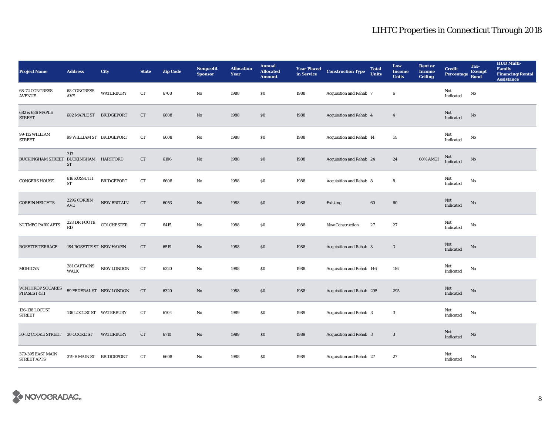| <b>Project Name</b>                      | <b>Address</b>              | City              | <b>State</b> | <b>Zip Code</b> | <b>Nonprofit</b><br><b>Sponsor</b> | <b>Allocation</b><br>Year | <b>Annual</b><br><b>Allocated</b><br><b>Amount</b> | <b>Year Placed<br/>in Service</b> | <b>Construction Type</b>  | <b>Total</b><br><b>Units</b> | Low<br><b>Income</b><br><b>Units</b> | <b>Rent or</b><br><b>Income</b><br><b>Ceiling</b> | <b>Credit</b><br><b>Percentage</b> | Tax-<br><b>Exempt</b><br><b>Bond</b> | <b>HUD Multi-</b><br><b>Family</b><br><b>Financing/Rental</b><br><b>Assistance</b> |
|------------------------------------------|-----------------------------|-------------------|--------------|-----------------|------------------------------------|---------------------------|----------------------------------------------------|-----------------------------------|---------------------------|------------------------------|--------------------------------------|---------------------------------------------------|------------------------------------|--------------------------------------|------------------------------------------------------------------------------------|
| 68-72 CONGRESS<br><b>AVENUE</b>          | 68 CONGRESS<br>AVE          | <b>WATERBURY</b>  | ${\rm CT}$   | 6708            | No                                 | 1988                      | \$0                                                | 1988                              | Acquisition and Rehab 7   |                              | 6                                    |                                                   | Not<br>Indicated                   | No                                   |                                                                                    |
| 682 & 686 MAPLE<br><b>STREET</b>         | 682 MAPLE ST BRIDGEPORT     |                   | CT           | 6608            | $\mathbf{N}\mathbf{o}$             | 1988                      | \$0                                                | 1988                              | Acquisition and Rehab 4   |                              | $\overline{4}$                       |                                                   | $\rm Not$ Indicated                | No                                   |                                                                                    |
| 99-115 WILLIAM<br><b>STREET</b>          | 99 WILLIAM ST BRIDGEPORT    |                   | ${\rm CT}$   | 6608            | No                                 | 1988                      | $\$0$                                              | 1988                              | Acquisition and Rehab 14  |                              | 14                                   |                                                   | Not<br>$\operatorname{Indicated}$  | No                                   |                                                                                    |
| BUCKINGHAM STREET BUCKINGHAM HARTFORD    | 213<br>ST                   |                   | CT           | 6106            | No                                 | 1988                      | \$0                                                | 1988                              | Acquisition and Rehab 24  |                              | 24                                   | 60% AMGI                                          | Not<br>Indicated                   | No                                   |                                                                                    |
| <b>CONGERS HOUSE</b>                     | 616 KOSSUTH<br>ST           | <b>BRIDGEPORT</b> | ${\rm CT}$   | 6608            | $\mathbf{N}\mathbf{o}$             | 1988                      | $\$0$                                              | 1988                              | Acquisition and Rehab 8   |                              | 8                                    |                                                   | Not<br>Indicated                   | No                                   |                                                                                    |
| <b>CORBIN HEIGHTS</b>                    | 2296 CORBIN<br>AVE          | NEW BRITAIN       | CT           | 6053            | No                                 | 1988                      | \$0                                                | 1988                              | Existing                  | 60                           | 60                                   |                                                   | Not<br>Indicated                   | $\rm No$                             |                                                                                    |
| <b>NUTMEG PARK APTS</b>                  | 228 DR FOOTE<br><b>RD</b>   | <b>COLCHESTER</b> | ${\rm CT}$   | 6415            | No                                 | 1988                      | $\$0$                                              | 1988                              | New Construction          | 27                           | $\bf 27$                             |                                                   | Not<br>Indicated                   | No                                   |                                                                                    |
| <b>ROSETTE TERRACE</b>                   | 184 ROSETTE ST NEW HAVEN    |                   | CT           | 6519            | No                                 | 1988                      | \$0                                                | 1988                              | Acquisition and Rehab 3   |                              | 3                                    |                                                   | Not<br>Indicated                   | $\rm No$                             |                                                                                    |
| MOHICAN                                  | 281 CAPTAINS<br><b>WALK</b> | NEW LONDON        | CT           | 6320            | No                                 | 1988                      | $\$0$                                              | 1988                              | Acquisition and Rehab 146 |                              | 116                                  |                                                   | Not<br>Indicated                   | $\mathbf{No}$                        |                                                                                    |
| <b>WINTHROP SQUARES</b><br>PHASES I & II | 59 FEDERAL ST NEW LONDON    |                   | CT           | 6320            | $\mathbf{N}\mathbf{o}$             | 1988                      | $\$0$                                              | 1988                              | Acquisition and Rehab 295 |                              | 295                                  |                                                   | Not<br>Indicated                   | No                                   |                                                                                    |
| 136-138 LOCUST<br><b>STREET</b>          | 136 LOCUST ST WATERBURY     |                   | CT           | 6704            | No                                 | 1989                      | \$0                                                | 1989                              | Acquisition and Rehab 3   |                              | 3                                    |                                                   | Not<br>Indicated                   | No                                   |                                                                                    |
| 30-32 COOKE STREET 30 COOKE ST           |                             | <b>WATERBURY</b>  | CT           | 6710            | No                                 | 1989                      | \$0                                                | 1989                              | Acquisition and Rehab 3   |                              | 3                                    |                                                   | Not<br>Indicated                   | $\rm No$                             |                                                                                    |
| 379-395 EAST MAIN<br><b>STREET APTS</b>  | 379 E MAIN ST BRIDGEPORT    |                   | <b>CT</b>    | 6608            | No                                 | 1988                      | $\$0$                                              | 1989                              | Acquisition and Rehab 27  |                              | 27                                   |                                                   | Not<br>Indicated                   | No                                   |                                                                                    |

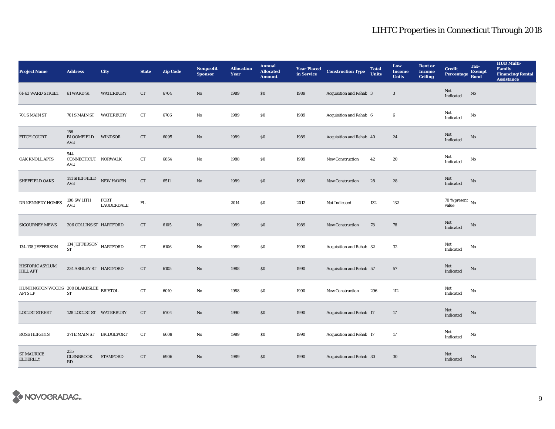| <b>Project Name</b>                              | <b>Address</b>                                    | City                      | <b>State</b> | <b>Zip Code</b> | Nonprofit<br><b>Sponsor</b> | <b>Allocation</b><br>Year | <b>Annual</b><br><b>Allocated</b><br><b>Amount</b> | <b>Year Placed<br/>in Service</b> | <b>Construction Type</b> | <b>Total</b><br><b>Units</b> | Low<br><b>Income</b><br><b>Units</b> | <b>Rent or</b><br><b>Income</b><br><b>Ceiling</b> | <b>Credit</b><br><b>Percentage</b> | Tax-<br><b>Exempt</b><br><b>Bond</b> | <b>HUD Multi-</b><br>Family<br><b>Financing/Rental</b><br><b>Assistance</b> |
|--------------------------------------------------|---------------------------------------------------|---------------------------|--------------|-----------------|-----------------------------|---------------------------|----------------------------------------------------|-----------------------------------|--------------------------|------------------------------|--------------------------------------|---------------------------------------------------|------------------------------------|--------------------------------------|-----------------------------------------------------------------------------|
| 61-63 WARD STREET                                | 61 WARD ST                                        | <b>WATERBURY</b>          | CT           | 6704            | $\mathbf{N}\mathbf{o}$      | 1989                      | \$0                                                | 1989                              | Acquisition and Rehab 3  |                              | $\boldsymbol{3}$                     |                                                   | Not<br>Indicated                   | No                                   |                                                                             |
| 701 S MAIN ST                                    | 701 S MAIN ST                                     | <b>WATERBURY</b>          | ${\rm CT}$   | 6706            | No                          | 1989                      | \$0                                                | 1989                              | Acquisition and Rehab 6  |                              | $\boldsymbol{6}$                     |                                                   | Not<br>Indicated                   | No                                   |                                                                             |
| <b>FITCH COURT</b>                               | 156<br><b>BLOOMFIELD</b><br>AVE                   | <b>WINDSOR</b>            | CT           | 6095            | $\mathbf{N}\mathbf{o}$      | 1989                      | \$0                                                | 1989                              | Acquisition and Rehab 40 |                              | 24                                   |                                                   | Not<br>Indicated                   | No                                   |                                                                             |
| OAK KNOLL APTS                                   | 544<br>CONNECTICUT NORWALK<br>AVE                 |                           | ${\rm CT}$   | 6854            | No                          | 1988                      | $\$0$                                              | 1989                              | New Construction         | 42                           | $\bf{20}$                            |                                                   | Not<br>Indicated                   | No                                   |                                                                             |
| SHEFFIELD OAKS                                   | 141 SHEFFIELD NEW HAVEN<br>$\operatorname{AVE}$   |                           | CT           | 6511            | $\mathbf{N}\mathbf{o}$      | 1989                      | \$0                                                | 1989                              | <b>New Construction</b>  | 28                           | 28                                   |                                                   | Not<br>Indicated                   | No                                   |                                                                             |
| DR KENNEDY HOMES                                 | 108 SW 11TH<br>AVE                                | FORT<br><b>LAUDERDALE</b> | ${\rm FL}$   |                 |                             | 2014                      | ${\bf S0}$                                         | 2012                              | Not Indicated            | 132                          | 132                                  |                                                   | $70$ % present $\,$ No value       |                                      |                                                                             |
| <b>SIGOURNEY MEWS</b>                            | 206 COLLINS ST HARTFORD                           |                           | CT           | 6105            | $\mathbf{No}$               | 1989                      | \$0                                                | 1989                              | New Construction         | 78                           | 78                                   |                                                   | Not<br>Indicated                   | No                                   |                                                                             |
| 134-138 JEFFERSON                                | 134 JEFFERSON HARTFORD $$\tt HARTFORD$$           |                           | ${\rm CT}$   | 6106            | No                          | 1989                      | \$0                                                | 1990                              | Acquisition and Rehab 32 |                              | $32\,$                               |                                                   | Not<br>Indicated                   | No                                   |                                                                             |
| HISTORIC ASYLUM<br><b>HILL APT</b>               | 234 ASHLEY ST HARTFORD                            |                           | CT           | 6105            | No                          | 1988                      | \$0                                                | 1990                              | Acquisition and Rehab 57 |                              | 57                                   |                                                   | Not<br>Indicated                   | No                                   |                                                                             |
| HUNTINGTON WOODS 200 BLAKESLEE<br><b>APTS LP</b> | ${\rm ST}$                                        | <b>BRISTOL</b>            | ${\rm CT}$   | 6010            | No                          | 1988                      | $\$0$                                              | 1990                              | New Construction         | 296                          | 112                                  |                                                   | Not<br>Indicated                   | No                                   |                                                                             |
| <b>LOCUST STREET</b>                             | 128 LOCUST ST WATERBURY                           |                           | CT           | 6704            | No                          | 1990                      | \$0\$                                              | 1990                              | Acquisition and Rehab 17 |                              | 17                                   |                                                   | Not<br>Indicated                   | No                                   |                                                                             |
| <b>ROSE HEIGHTS</b>                              | 371 E MAIN ST                                     | <b>BRIDGEPORT</b>         | ${\rm CT}$   | 6608            | No                          | 1989                      | $\$0$                                              | 1990                              | Acquisition and Rehab 17 |                              | 17                                   |                                                   | Not<br>Indicated                   | $\rm No$                             |                                                                             |
| <b>ST MAURICE</b><br><b>ELDERLLY</b>             | 235<br><b>GLENBROOK</b><br>$\mathbf{R}\mathbf{D}$ | <b>STAMFORD</b>           | CT           | 6906            | $\mathbf{N}\mathbf{o}$      | 1989                      | \$0                                                | 1990                              | Acquisition and Rehab 30 |                              | 30                                   |                                                   | Not<br>Indicated                   | No                                   |                                                                             |

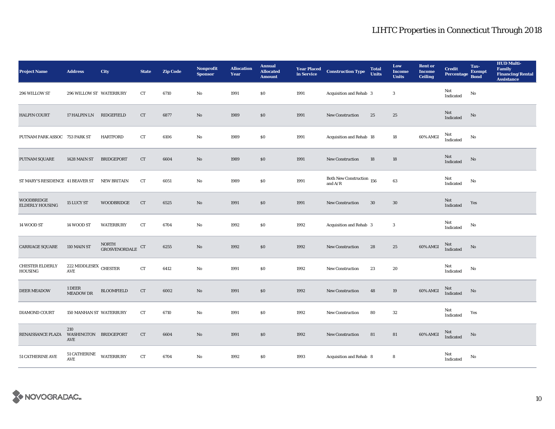| <b>Project Name</b>                  | <b>Address</b>                      | <b>City</b>                                                                   | <b>State</b> | <b>Zip Code</b> | Nonprofit<br><b>Sponsor</b> | <b>Allocation</b><br>Year | <b>Annual</b><br><b>Allocated</b><br><b>Amount</b> | <b>Year Placed<br/>in Service</b> | <b>Construction Type</b>                         | <b>Total</b><br><b>Units</b> | Low<br><b>Income</b><br><b>Units</b> | <b>Rent or</b><br><b>Income</b><br><b>Ceiling</b> | <b>Credit</b><br><b>Percentage</b> | Tax-<br><b>Exempt</b><br><b>Bond</b> | <b>HUD Multi-</b><br><b>Family<br/>Financing/Rental</b><br><b>Assistance</b> |
|--------------------------------------|-------------------------------------|-------------------------------------------------------------------------------|--------------|-----------------|-----------------------------|---------------------------|----------------------------------------------------|-----------------------------------|--------------------------------------------------|------------------------------|--------------------------------------|---------------------------------------------------|------------------------------------|--------------------------------------|------------------------------------------------------------------------------|
| 296 WILLOW ST                        | 296 WILLOW ST WATERBURY             |                                                                               | CT           | 6710            | No                          | 1991                      | $\$0$                                              | 1991                              | Acquisition and Rehab 3                          |                              | $\boldsymbol{3}$                     |                                                   | Not<br>Indicated                   | $\rm No$                             |                                                                              |
| <b>HALPIN COURT</b>                  | 17 HALPIN LN                        | RIDGEFIELD                                                                    | ${\rm CT}$   | 6877            | No                          | 1989                      | \$0                                                | 1991                              | <b>New Construction</b>                          | 25                           | 25                                   |                                                   | $\rm Not$ Indicated                | No                                   |                                                                              |
| PUTNAM PARK ASSOC 753 PARK ST        |                                     | <b>HARTFORD</b>                                                               | CT           | 6106            | No                          | 1989                      | \$0\$                                              | 1991                              | Acquisition and Rehab 18                         |                              | 18                                   | 60% AMGI                                          | Not<br>Indicated                   | No                                   |                                                                              |
| PUTNAM SQUARE                        | 1428 MAIN ST                        | BRIDGEPORT                                                                    | CT           | 6604            | No                          | 1989                      | $\$0$                                              | 1991                              | <b>New Construction</b>                          | 18                           | 18                                   |                                                   | Not<br>Indicated                   | No                                   |                                                                              |
| ST MARY'S RESIDENCE 41 BEAVER ST     |                                     | <b>NEW BRITAIN</b>                                                            | <b>CT</b>    | 6051            | No                          | 1989                      | $\bf{S0}$                                          | 1991                              | Both New Construction $\,$ 156 $\,$<br>and $A/R$ |                              | 63                                   |                                                   | Not<br>Indicated                   | No                                   |                                                                              |
| <b>WOODBRIDGE</b><br>ELDERLY HOUSING | 15 LUCY ST                          | WOODBRIDGE                                                                    | CT           | 6525            | No                          | 1991                      | $\$0$                                              | 1991                              | New Construction                                 | $30\,$                       | $30\,$                               |                                                   | Not<br>Indicated                   | Yes                                  |                                                                              |
| 14 WOOD ST                           | 14 WOOD ST                          | <b>WATERBURY</b>                                                              | <b>CT</b>    | 6704            | No                          | 1992                      | $\$0$                                              | 1992                              | Acquisition and Rehab 3                          |                              | 3                                    |                                                   | Not<br>Indicated                   | No                                   |                                                                              |
| CARRIAGE SQUARE                      | 110 MAIN ST                         | NORTH<br>${\tt GROSVENORDALE} \begin{tabular}{l} $\mathsf{CT}$ \end{tabular}$ |              | 6255            | No                          | 1992                      | $\$0$                                              | 1992                              | New Construction                                 | 28                           | $\bf 25$                             | 60% AMGI                                          | Not<br>Indicated                   | No                                   |                                                                              |
| CHESTER ELDERLY<br><b>HOUSING</b>    | 222 MIDDLESEX CHESTER<br>AVE        |                                                                               | ${\rm CT}$   | 6412            | No                          | 1991                      | \$0                                                | 1992                              | <b>New Construction</b>                          | 23                           | 20                                   |                                                   | Not<br>Indicated                   | $\mathbf{No}$                        |                                                                              |
| <b>DEER MEADOW</b>                   | 1 DEER<br>MEADOW DR                 | <b>BLOOMFIELD</b>                                                             | <b>CT</b>    | 6002            | No                          | 1991                      | $\$0$                                              | 1992                              | New Construction                                 | 48                           | 19                                   | 60% AMGI                                          | Not<br>Indicated                   | No                                   |                                                                              |
| DIAMOND COURT                        | 150 MANHAN ST WATERBURY             |                                                                               | <b>CT</b>    | 6710            | No                          | 1991                      | $\$0$                                              | 1992                              | <b>New Construction</b>                          | 80                           | 32                                   |                                                   | Not<br>Indicated                   | Yes                                  |                                                                              |
| RENAISSANCE PLAZA                    | 210<br>WASHINGTON BRIDGEPORT<br>AVE |                                                                               | ${\rm CT}$   | 6604            | No                          | 1991                      | $\$0$                                              | 1992                              | New Construction                                 | 81                           | 81                                   | 60% AMGI                                          | Not<br>Indicated                   | No                                   |                                                                              |
| 51 CATHERINE AVE                     | 51 CATHERINE<br><b>AVE</b>          | WATERBURY                                                                     | CT           | 6704            | No                          | 1992                      | $\$0$                                              | 1993                              | Acquisition and Rehab 8                          |                              | 8                                    |                                                   | Not<br>Indicated                   | No                                   |                                                                              |

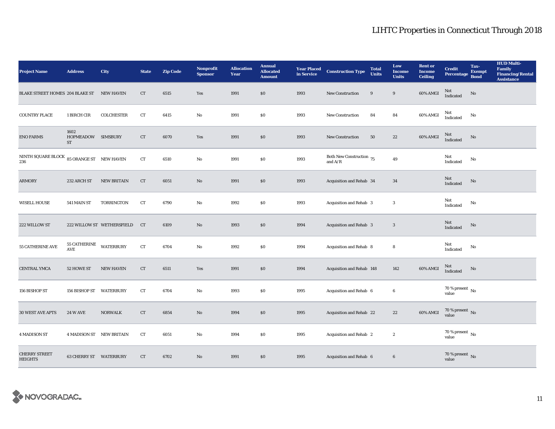| <b>Project Name</b>                                        | <b>Address</b>                                | City                       | <b>State</b> | <b>Zip Code</b> | <b>Nonprofit</b><br><b>Sponsor</b> | <b>Allocation</b><br>Year | <b>Annual</b><br><b>Allocated</b><br><b>Amount</b> | <b>Year Placed<br/>in Service</b> | <b>Construction Type</b>                | <b>Total</b><br><b>Units</b> | Low<br><b>Income</b><br><b>Units</b> | <b>Rent or</b><br><b>Income</b><br><b>Ceiling</b> | <b>Credit</b><br><b>Percentage</b> | Tax-<br><b>Exempt</b><br><b>Bond</b> | <b>HUD Multi-</b><br><b>Family</b><br><b>Financing/Rental</b><br><b>Assistance</b> |
|------------------------------------------------------------|-----------------------------------------------|----------------------------|--------------|-----------------|------------------------------------|---------------------------|----------------------------------------------------|-----------------------------------|-----------------------------------------|------------------------------|--------------------------------------|---------------------------------------------------|------------------------------------|--------------------------------------|------------------------------------------------------------------------------------|
| BLAKE STREET HOMES 204 BLAKE ST                            |                                               | <b>NEW HAVEN</b>           | CT           | 6515            | Yes                                | 1991                      | \$0                                                | 1993                              | New Construction                        | $\boldsymbol{9}$             | $\boldsymbol{9}$                     | 60% AMGI                                          | <b>Not</b><br>Indicated            | $\rm No$                             |                                                                                    |
| <b>COUNTRY PLACE</b>                                       | 1 BIRCH CIR                                   | <b>COLCHESTER</b>          | CT           | 6415            | No                                 | 1991                      | $\$0$                                              | 1993                              | <b>New Construction</b>                 | 84                           | 84                                   | 60% AMGI                                          | Not<br>Indicated                   | No                                   |                                                                                    |
| <b>ENO FARMS</b>                                           | 1602<br>HOPMEADOW SIMSBURY<br>ST              |                            | ${\rm CT}$   | 6070            | Yes                                | 1991                      | $\$0$                                              | 1993                              | <b>New Construction</b>                 | 50                           | $22\,$                               | 60% AMGI                                          | Not<br>Indicated                   | No                                   |                                                                                    |
| NINTH SQUARE BLOCK $\,$ 85 ORANGE ST $\,$ NEW HAVEN<br>236 |                                               |                            | ${\rm CT}$   | 6510            | No                                 | 1991                      | $\$0$                                              | 1993                              | Both New Construction $75$<br>and $A/R$ |                              | $\bf 49$                             |                                                   | Not<br>Indicated                   | No                                   |                                                                                    |
| ARMORY                                                     | 232 ARCH ST                                   | <b>NEW BRITAIN</b>         | CT           | 6051            | No                                 | 1991                      | \$0                                                | 1993                              | Acquisition and Rehab 34                |                              | 34                                   |                                                   | Not<br>Indicated                   | No                                   |                                                                                    |
| <b>WISELL HOUSE</b>                                        | 541 MAIN ST                                   | <b>TORRINGTON</b>          | CT           | 6790            | No                                 | 1992                      | $\$0$                                              | 1993                              | Acquisition and Rehab 3                 |                              | $\sqrt{3}$                           |                                                   | Not<br>Indicated                   | No                                   |                                                                                    |
| 222 WILLOW ST                                              |                                               | 222 WILLOW ST WETHERSFIELD | CT           | 6109            | No                                 | 1993                      | \$0                                                | 1994                              | Acquisition and Rehab 3                 |                              | $\boldsymbol{\cdot}$                 |                                                   | Not<br>Indicated                   | No                                   |                                                                                    |
| 55 CATHERINE AVE                                           | 55 CATHERINE<br>$\operatorname{\mathsf{AVE}}$ | <b>WATERBURY</b>           | ${\rm CT}$   | 6704            | No                                 | 1992                      | \$0                                                | 1994                              | Acquisition and Rehab 8                 |                              | 8                                    |                                                   | Not<br>Indicated                   | No                                   |                                                                                    |
| CENTRAL YMCA                                               | 52 HOWE ST                                    | <b>NEW HAVEN</b>           | CT           | 6511            | Yes                                | 1991                      | $\$0$                                              | 1994                              | Acquisition and Rehab 148               |                              | 142                                  | 60% AMGI                                          | Not<br>Indicated                   | No                                   |                                                                                    |
| 156 BISHOP ST                                              | 156 BISHOP ST WATERBURY                       |                            | CT           | 6704            | No                                 | 1993                      | $\$0$                                              | 1995                              | Acquisition and Rehab 6                 |                              | 6                                    |                                                   | $70$ % present $\,$ No value       |                                      |                                                                                    |
| <b>30 WEST AVE APTS</b>                                    | <b>24 W AVE</b>                               | <b>NORWALK</b>             | CT           | 6854            | No                                 | 1994                      | \$0                                                | 1995                              | Acquisition and Rehab 22                |                              | $22\,$                               | 60% AMGI                                          | $70$ % present $\,$ No value       |                                      |                                                                                    |
| <b>4 MADISON ST</b>                                        | <b>4 MADISON ST NEW BRITAIN</b>               |                            | CT           | 6051            | No                                 | 1994                      | $\$0$                                              | 1995                              | Acquisition and Rehab 2                 |                              | $\boldsymbol{2}$                     |                                                   | 70 % present $\,$ No $\,$<br>value |                                      |                                                                                    |
| <b>CHERRY STREET</b><br><b>HEIGHTS</b>                     | 63 CHERRY ST WATERBURY                        |                            | CT           | 6702            | No                                 | 1991                      | \$0                                                | 1995                              | Acquisition and Rehab 6                 |                              | $\bf 6$                              |                                                   | $70$ % present $\,$ No value       |                                      |                                                                                    |

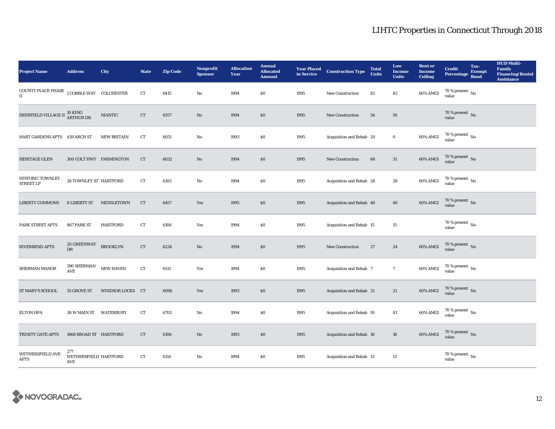| <b>Project Name</b>                                                                              | <b>Address</b>                      | City               | <b>State</b>       | <b>Zip Code</b> | Nonprofit<br><b>Sponsor</b> | <b>Allocation</b><br>Year | <b>Annual</b><br><b>Allocated</b><br><b>Amount</b> | <b>Year Placed<br/>in Service</b> | <b>Construction Type</b>        | <b>Total</b><br><b>Units</b> | Low<br><b>Income</b><br><b>Units</b> | <b>Rent</b> or<br><b>Income</b><br><b>Ceiling</b> | <b>Credit</b><br><b>Percentage</b> | Tax-<br><b>Exempt</b><br><b>Bond</b> | <b>HUD Multi-</b><br><b>Family</b><br><b>Financing/Rental</b><br><b>Assistance</b> |
|--------------------------------------------------------------------------------------------------|-------------------------------------|--------------------|--------------------|-----------------|-----------------------------|---------------------------|----------------------------------------------------|-----------------------------------|---------------------------------|------------------------------|--------------------------------------|---------------------------------------------------|------------------------------------|--------------------------------------|------------------------------------------------------------------------------------|
| COUNTY PLACE PHASE $\,$ $\,$ $\,$ $\,$ $\,$ COBBLE WAY $\,$ $\,$ COLCHESTER $\,$<br>$\mathbf{I}$ |                                     |                    | ${\rm CT}$         | 6415            | $\mathbf{No}$               | 1994                      | <b>SO</b>                                          | 1995                              | New Construction                | 82                           | 82                                   | 60% AMGI                                          | 70 % present $\,$ No $\,$<br>value |                                      |                                                                                    |
| DEERFIELD VILLAGE II <sup>10</sup> KING<br>ARTHUR DR                                             |                                     | <b>NIANTIC</b>     | ${\rm CT}$         | 6357            | $\rm No$                    | 1994                      | $\$0$                                              | 1995                              | New Construction                | ${\bf 54}$                   | ${\bf 50}$                           |                                                   | $70$ % present $\,$ No value       |                                      |                                                                                    |
| HART GARDENS APTS 439 ARCH ST                                                                    |                                     | <b>NEW BRITAIN</b> | ${\rm CT}$         | 6051            | $\rm No$                    | 1993                      | \$0                                                | 1995                              | Acquisition and Rehab 20        |                              | $\mathbf 0$                          | 60% AMGI                                          | $70$ % present $\,$ No value       |                                      |                                                                                    |
| <b>HERITAGE GLEN</b>                                                                             | 300 COLT HWY FARMINGTON             |                    | CT                 | 6032            | $\rm No$                    | 1994                      | $\$0$                                              | 1995                              | New Construction                | 68                           | $31\,$                               | 60% AMGI                                          | $70$ % present $\,$ No value       |                                      |                                                                                    |
| HISTORIC TOWNLEY<br><b>STREET LP</b>                                                             | 28 TOWNLEY ST HARTFORD              |                    | ${\rm CT}$         | 6105            | $\mathbf{N}\mathbf{o}$      | 1994                      | $\$0$                                              | 1995                              | Acquisition and Rehab 28        |                              | 28                                   | 60% AMGI                                          | $70$ % present $\,$ No value       |                                      |                                                                                    |
| <b>LIBERTY COMMONS</b>                                                                           | <b>8 LIBERTY ST</b>                 | MIDDLETOWN         | CT                 | 6457            | Yes                         | 1995                      | \$0                                                | 1995                              | Acquisition and Rehab 40        |                              | 40                                   | 60% AMGI                                          | $70$ % present $\,$ No value       |                                      |                                                                                    |
| PARK STREET APTS                                                                                 | 867 PARK ST                         | HARTFORD           | CT                 | 6106            | Yes                         | 1994                      | <b>SO</b>                                          | 1995                              | Acquisition and Rehab 15        |                              | 15                                   |                                                   | 70 % present $\,$ No $\,$<br>value |                                      |                                                                                    |
| RIVERBEND APTS                                                                                   | <b>20 GREENWAY</b><br>${\rm DR}$    | <b>BROOKLYN</b>    | ${\rm CT}$         | 6234            | $\rm No$                    | 1994                      | \$0                                                | 1995                              | New Construction                | 27                           | 24                                   | 60% AMGI                                          | $70$ % present $\,$ No value       |                                      |                                                                                    |
| SHERMAN MANOR                                                                                    | 390 SHERMAN<br>AVE                  | <b>NEW HAVEN</b>   | ${\rm CT}$         | 6511            | Yes                         | 1994                      | $\$0$                                              | 1995                              | Acquisition and Rehab 7         |                              | $7\phantom{.0}$                      | 60% AMGI                                          | $70$ % present $\,$ No value       |                                      |                                                                                    |
| ST MARY'S SCHOOL                                                                                 | 55 GROVE ST                         | WINDSOR LOCKS CT   |                    | 6096            | Yes                         | 1993                      | $\$0$                                              | 1995                              | Acquisition and Rehab 21        |                              | $21\,$                               | 60% AMGI                                          | $70\,\%$ present $\,$ No value     |                                      |                                                                                    |
| <b>ELTON HFA</b>                                                                                 | 30 W MAIN ST WATERBURY              |                    | ${\rm CT}$         | 6702            | $\mathbf{No}$               | 1994                      | $\$0$                                              | 1995                              | Acquisition and Rehab 91        |                              | 81                                   | 60% AMGI                                          | $70\,\%$ present $\,$ No value     |                                      |                                                                                    |
| TRINITY GATE APTS                                                                                | 1668 BROAD ST HARTFORD              |                    | CT                 | 6106            | $\rm No$                    | 1993                      | \$0                                                | 1995                              | <b>Acquisition and Rehab 18</b> |                              | 18                                   | 60% AMGI                                          | $70\,\%$ present $\,$ No value     |                                      |                                                                                    |
| <b>WETHERSFIELD AVE</b><br><b>APTS</b>                                                           | 277<br>WETHERSFIELD HARTFORD<br>AVE |                    | ${\cal C}{\cal T}$ | 6114            | $\mathbf{No}$               | 1994                      | \$0                                                | 1995                              | Acquisition and Rehab 13        |                              | 13                                   |                                                   | 70 % present $\hbox{~No}$<br>value |                                      |                                                                                    |

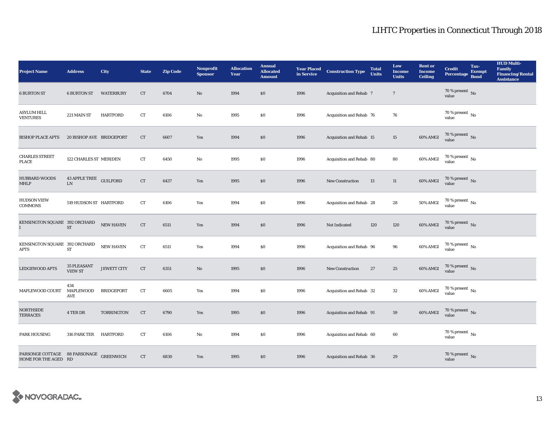| <b>Project Name</b>                                             | <b>Address</b>                       | <b>City</b>       | <b>State</b>       | <b>Zip Code</b> | Nonprofit<br><b>Sponsor</b> | <b>Allocation</b><br>Year | <b>Annual</b><br><b>Allocated</b><br><b>Amount</b> | <b>Year Placed<br/>in Service</b> | <b>Construction Type</b> | <b>Total</b><br><b>Units</b> | Low<br><b>Income</b><br><b>Units</b> | <b>Rent or</b><br><b>Income</b><br>Ceiling | <b>Credit</b><br>Percentage Bond     | Tax-<br><b>Exempt</b> | <b>HUD Multi-</b><br>Family<br>Financing/Rental<br><b>Assistance</b> |
|-----------------------------------------------------------------|--------------------------------------|-------------------|--------------------|-----------------|-----------------------------|---------------------------|----------------------------------------------------|-----------------------------------|--------------------------|------------------------------|--------------------------------------|--------------------------------------------|--------------------------------------|-----------------------|----------------------------------------------------------------------|
| <b>6 BURTON ST</b>                                              | <b>6 BURTON ST</b>                   | <b>WATERBURY</b>  | CT                 | 6704            | No                          | 1994                      | \$0\$                                              | 1996                              | Acquisition and Rehab 7  |                              | $7\phantom{.0}$                      |                                            | 70 % present $\hbox{~No}$<br>value   |                       |                                                                      |
| <b>ASYLUM HILL</b><br><b>VENTURES</b>                           | 221 MAIN ST                          | <b>HARTFORD</b>   | ${\rm CT}$         | 6106            | No                          | 1995                      | $\$0$                                              | 1996                              | Acquisition and Rehab 76 |                              | 76                                   |                                            | $70$ % present $\,$ No value         |                       |                                                                      |
| <b>BISHOP PLACE APTS</b>                                        | 20 BISHOP AVE BRIDGEPORT             |                   | <b>CT</b>          | 6607            | Yes                         | 1994                      | \$0                                                | 1996                              | Acquisition and Rehab 15 |                              | 15                                   | 60% AMGI                                   | $70$ % present $\,$ No value         |                       |                                                                      |
| <b>CHARLES STREET</b><br><b>PLACE</b>                           | 122 CHARLES ST MERIDEN               |                   | CT                 | 6450            | No                          | 1995                      | $\$0$                                              | 1996                              | Acquisition and Rehab 80 |                              | 80                                   | 60% AMGI                                   | $70$ % present $\,$ No value         |                       |                                                                      |
| <b>HUBBARD WOODS</b><br><b>MHLP</b>                             | 43 APPLE TREE GUILFORD<br>${\rm LN}$ |                   | CT                 | 6437            | Yes                         | 1995                      | \$0                                                | 1996                              | <b>New Construction</b>  | 13                           | 11                                   | 60% AMGI                                   | $70$ % present $\,$ No value         |                       |                                                                      |
| <b>HUDSON VIEW</b><br><b>COMMONS</b>                            | 519 HUDSON ST HARTFORD               |                   | CT                 | 6106            | Yes                         | 1994                      | $\$0$                                              | 1996                              | Acquisition and Rehab 28 |                              | 28                                   | $50\%$ AMGI                                | $70$ % present $\,$ No value         |                       |                                                                      |
| KENSINGTON SQUARE 392 ORCHARD<br>T                              | ${\rm ST}$                           | NEW HAVEN         | ${\rm CT}$         | 6511            | Yes                         | 1994                      | $\$0$                                              | 1996                              | Not Indicated            | 120                          | 120                                  | 60% AMGI                                   | $70\,\%$ present $\,$ No value       |                       |                                                                      |
| KENSINGTON SQUARE 392 ORCHARD<br>APTS                           | ST                                   | NEW HAVEN         | ${\rm CT}$         | 6511            | Yes                         | 1994                      | \$0                                                | 1996                              | Acquisition and Rehab 96 |                              | 96                                   | 60% AMGI                                   | $70$ % present $\,$ No $\,$<br>value |                       |                                                                      |
| <b>LEDGEWOOD APTS</b>                                           | <b>35 PLEASANT</b><br><b>VIEW ST</b> | JEWETT CITY       | CT                 | 6351            | $\mathbf{No}$               | 1995                      | $\$0$                                              | 1996                              | <b>New Construction</b>  | 27                           | $\bf 25$                             | 60% AMGI                                   | $70\,\%$ present $\,$ No value       |                       |                                                                      |
| MAPLEWOOD COURT                                                 | 434<br>MAPLEWOOD<br>AVE              | <b>BRIDGEPORT</b> | CT                 | 6605            | Yes                         | 1994                      | \$0                                                | 1996                              | Acquisition and Rehab 32 |                              | 32                                   | 60% AMGI                                   | $70\,\%$ present $\,$ No value       |                       |                                                                      |
| <b>NORTHSIDE</b><br><b>TERRACES</b>                             | 4 TER DR                             | <b>TORRINGTON</b> | CT                 | 6790            | Yes                         | 1995                      | $\$0$                                              | 1996                              | Acquisition and Rehab 91 |                              | 59                                   | 60% AMGI                                   | $70\,\%$ present $\,$ No value       |                       |                                                                      |
| <b>PARK HOUSING</b>                                             | 316 PARK TER                         | HARTFORD          | CT                 | 6106            | No                          | 1994                      | \$0\$                                              | 1996                              | Acquisition and Rehab 60 |                              | 60                                   |                                            | 70 % present $\,$ No $\,$<br>value   |                       |                                                                      |
| PARSONGE COTTAGE 88 PARSONAGE GREENWICH<br>HOME FOR THE AGED RD |                                      |                   | ${\cal C}{\cal T}$ | 6830            | Yes                         | 1995                      | \$0\$                                              | 1996                              | Acquisition and Rehab 36 |                              | 29                                   |                                            | $70\,\%$ present $\,$ No value       |                       |                                                                      |

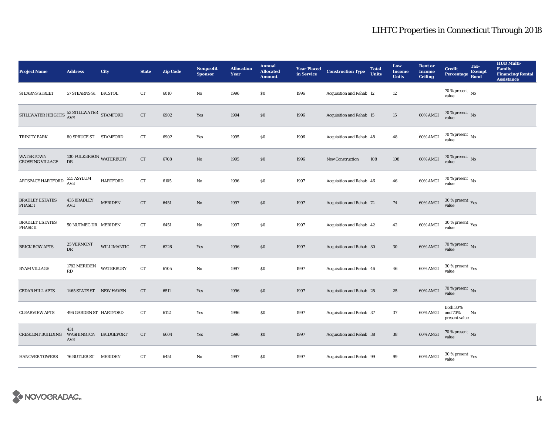| <b>Project Name</b>                           | <b>Address</b>                      | City             | <b>State</b> | <b>Zip Code</b> | Nonprofit<br><b>Sponsor</b> | <b>Allocation</b><br>Year | <b>Annual</b><br><b>Allocated</b><br><b>Amount</b> | <b>Year Placed<br/>in Service</b> | <b>Construction Type</b> | <b>Total</b><br><b>Units</b> | Low<br><b>Income</b><br><b>Units</b> | <b>Rent or</b><br><b>Income</b><br><b>Ceiling</b> | <b>Credit</b><br><b>Percentage</b>          | Tax-<br><b>Exempt</b><br><b>Bond</b> | <b>HUD Multi-</b><br><b>Family</b><br><b>Financing/Rental</b><br><b>Assistance</b> |
|-----------------------------------------------|-------------------------------------|------------------|--------------|-----------------|-----------------------------|---------------------------|----------------------------------------------------|-----------------------------------|--------------------------|------------------------------|--------------------------------------|---------------------------------------------------|---------------------------------------------|--------------------------------------|------------------------------------------------------------------------------------|
| <b>STEARNS STREET</b>                         | 57 STEARNS ST BRISTOL               |                  | CT           | 6010            | No                          | 1996                      | \$0                                                | 1996                              | Acquisition and Rehab 12 |                              | 12                                   |                                                   | 70 % present $\hbox{~No}$<br>value          |                                      |                                                                                    |
| STILLWATER HEIGHTS $^{53}_{\rm AVE}$ STAMFORD |                                     |                  | ${\rm CT}$   | 6902            | Yes                         | 1994                      | \$0                                                | 1996                              | Acquisition and Rehab 15 |                              | 15                                   | $60\%$ AMGI                                       | $70$ % present $\,$ No value                |                                      |                                                                                    |
| TRINITY PARK                                  | 80 SPRUCE ST STAMFORD               |                  | CT           | 6902            | Yes                         | 1995                      | $\$0$                                              | 1996                              | Acquisition and Rehab 48 |                              | 48                                   | 60% AMGI                                          | $70$ % present $\,$ No value                |                                      |                                                                                    |
| <b>WATERTOWN</b><br><b>CROSSING VILLAGE</b>   | 100 FULKERSON WATERBURY<br>DR       |                  | CT           | 6708            | $\mathbf{No}$               | 1995                      | \$0                                                | 1996                              | New Construction         | 108                          | 108                                  | 60% AMGI                                          | $70$ % present $\,$ No value                |                                      |                                                                                    |
| ARTSPACE HARTFORD                             | 555 ASYLUM<br>$\operatorname{AVE}$  | <b>HARTFORD</b>  | ${\rm CT}$   | 6105            | $\mathbf{N}\mathbf{o}$      | 1996                      | $\$0$                                              | 1997                              | Acquisition and Rehab 46 |                              | 46                                   | 60% AMGI                                          | $70$ % present $\,$ No value                |                                      |                                                                                    |
| <b>BRADLEY ESTATES</b><br><b>PHASE I</b>      | 435 BRADLEY<br>$\operatorname{AVE}$ | <b>MERIDEN</b>   | ${\rm CT}$   | 6451            | $\mathbf{N}\mathbf{o}$      | 1997                      | \$0                                                | 1997                              | Acquisition and Rehab 74 |                              | 74                                   | $60\%$ AMGI                                       | $30\,\%$ present $\,$ Yes value             |                                      |                                                                                    |
| <b>BRADLEY ESTATES</b><br><b>PHASE II</b>     | 50 NUTMEG DR MERIDEN                |                  | ${\rm CT}$   | 6451            | $\mathbf{No}$               | 1997                      | $\$0$                                              | 1997                              | Acquisition and Rehab 42 |                              | 42                                   | 60% AMGI                                          | $30\,\%$ present $\,$ Yes value             |                                      |                                                                                    |
| <b>BRICK ROW APTS</b>                         | <b>25 VERMONT</b><br>${\rm DR}$     | WILLIMANTIC      | CT           | 6226            | Yes                         | 1996                      | $\$0$                                              | 1997                              | Acquisition and Rehab 30 |                              | $30\,$                               | $60\%$ AMGI                                       | $70$ % present $\,$ No value                |                                      |                                                                                    |
| <b>BYAM VILLAGE</b>                           | 1782 MERIDEN<br><b>RD</b>           | <b>WATERBURY</b> | ${\rm CT}$   | 6705            | No                          | 1997                      | $\$0$                                              | 1997                              | Acquisition and Rehab 46 |                              | 46                                   | 60% AMGI                                          | $30\,\%$ present $\,$ Yes value             |                                      |                                                                                    |
| CEDAR HILL APTS                               | 1465 STATE ST NEW HAVEN             |                  | CT           | 6511            | Yes                         | 1996                      | $\$0$                                              | 1997                              | Acquisition and Rehab 25 |                              | 25                                   | $60\%$ AMGI                                       | $70$ % present $\,$ No value                |                                      |                                                                                    |
| <b>CLEARVIEW APTS</b>                         | 496 GARDEN ST HARTFORD              |                  | CT           | 6112            | Yes                         | 1996                      | $\$0$                                              | 1997                              | Acquisition and Rehab 37 |                              | 37                                   | 60% AMGI                                          | <b>Both 30%</b><br>and 70%<br>present value | No                                   |                                                                                    |
| CRESCENT BUILDING WASHINGTON BRIDGEPORT       | 431<br>AVE                          |                  | CT           | 6604            | Yes                         | 1996                      | \$0                                                | 1997                              | Acquisition and Rehab 38 |                              | ${\bf 38}$                           | $60\%$ AMGI                                       | $70\,\%$ present $\,$ No value              |                                      |                                                                                    |
| <b>HANOVER TOWERS</b>                         | 76 BUTLER ST MERIDEN                |                  | <b>CT</b>    | 6451            | No                          | 1997                      | $\$0$                                              | 1997                              | Acquisition and Rehab 99 |                              | 99                                   | 60% AMGI                                          | $30\,\%$ present $\,\mathrm{Yes}$ value     |                                      |                                                                                    |

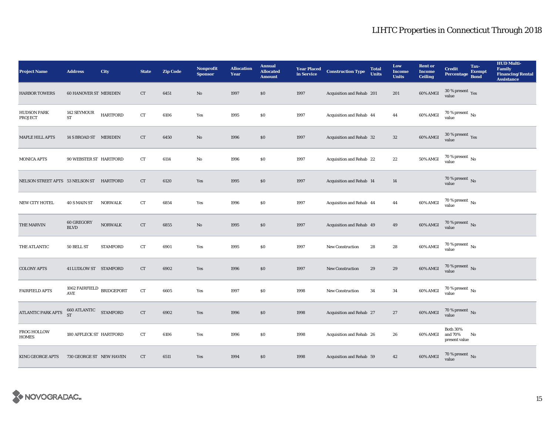| <b>Project Name</b>                      | <b>Address</b>                                                             | City            | <b>State</b> | <b>Zip Code</b> | Nonprofit<br><b>Sponsor</b> | <b>Allocation</b><br>Year | <b>Annual</b><br><b>Allocated</b><br><b>Amount</b> | <b>Year Placed<br/>in Service</b> | <b>Construction Type</b>  | <b>Total</b><br><b>Units</b> | Low<br><b>Income</b><br><b>Units</b> | <b>Rent or</b><br><b>Income</b><br><b>Ceiling</b> | <b>Credit</b><br><b>Percentage</b>          | Tax-<br><b>Exempt</b><br><b>Bond</b> | <b>HUD Multi-</b><br><b>Family</b><br>Financing/Rental<br><b>Assistance</b> |
|------------------------------------------|----------------------------------------------------------------------------|-----------------|--------------|-----------------|-----------------------------|---------------------------|----------------------------------------------------|-----------------------------------|---------------------------|------------------------------|--------------------------------------|---------------------------------------------------|---------------------------------------------|--------------------------------------|-----------------------------------------------------------------------------|
| <b>HARBOR TOWERS</b>                     | <b>60 HANOVER ST MERIDEN</b>                                               |                 | CT           | 6451            | No                          | 1997                      | \$0                                                | 1997                              | Acquisition and Rehab 201 |                              | 201                                  | 60% AMGI                                          | $30\,\%$ present $\,$ Yes value             |                                      |                                                                             |
| <b>HUDSON PARK</b><br>PROJECT            | 142 SEYMOUR<br>ST                                                          | <b>HARTFORD</b> | ${\rm CT}$   | 6106            | Yes                         | 1995                      | $\$0$                                              | 1997                              | Acquisition and Rehab 44  |                              | 44                                   | 60% AMGI                                          | $70\,\%$ present $\,$ No value              |                                      |                                                                             |
| MAPLE HILL APTS                          | 14 S BROAD ST MERIDEN                                                      |                 | CT           | 6450            | $\mathbf{No}$               | 1996                      | \$0                                                | 1997                              | Acquisition and Rehab 32  |                              | $32\,$                               | 60% AMGI                                          | $30\,\%$ present $\,$ Yes value             |                                      |                                                                             |
| <b>MONICA APTS</b>                       | 90 WEBSTER ST HARTFORD                                                     |                 | CT           | 6114            | No                          | 1996                      | \$0                                                | 1997                              | Acquisition and Rehab 22  |                              | 22                                   | 50% AMGI                                          | $70\,\%$ present $\,$ No value              |                                      |                                                                             |
| NELSON STREET APTS 53 NELSON ST HARTFORD |                                                                            |                 | ${\rm CT}$   | 6120            | Yes                         | 1995                      | $\$0$                                              | 1997                              | Acquisition and Rehab 14  |                              | 14                                   |                                                   | $70\,\%$ present $\,$ No value              |                                      |                                                                             |
| NEW CITY HOTEL                           | 40 S MAIN ST                                                               | <b>NORWALK</b>  | CT           | 6854            | Yes                         | 1996                      | \$0                                                | 1997                              | Acquisition and Rehab 44  |                              | 44                                   | 60% AMGI                                          | $70$ % present $\,$ No value                |                                      |                                                                             |
| THE MARVIN                               | 60 GREGORY<br><b>BLVD</b>                                                  | <b>NORWALK</b>  | ${\rm CT}$   | 6855            | $\mathbf{N}\mathbf{o}$      | 1995                      | \$0                                                | 1997                              | Acquisition and Rehab 49  |                              | 49                                   | <b>60% AMGI</b>                                   | $70$ % present $\,$ No value                |                                      |                                                                             |
| THE ATLANTIC                             | 50 BELL ST                                                                 | <b>STAMFORD</b> | ${\rm CT}$   | 6901            | Yes                         | 1995                      | \$0                                                | 1997                              | New Construction          | 28                           | $\bf 28$                             | 60% AMGI                                          | $70$ % present $\,$ No value                |                                      |                                                                             |
| <b>COLONY APTS</b>                       | 41 LUDLOW ST STAMFORD                                                      |                 | CT           | 6902            | Yes                         | 1996                      | \$0                                                | 1997                              | <b>New Construction</b>   | 29                           | 29                                   | 60% AMGI                                          | $70$ % present $\,$ No value                |                                      |                                                                             |
| <b>FAIRFIELD APTS</b>                    | 1062 FAIRFIELD BRIDGEPORT<br>$\operatorname{AVE}$                          |                 | ${\rm CT}$   | 6605            | Yes                         | 1997                      | $\$0$                                              | 1998                              | <b>New Construction</b>   | 34                           | 34                                   | 60% AMGI                                          | $70$ % present $\,$ No value                |                                      |                                                                             |
| ATLANTIC PARK APTS                       | $\fbox{660 ATLANTIC} \quad \  \  \, \mathtt{STAMFORD}$ $\quad \  \  \,$ ST |                 | ${\rm CT}$   | 6902            | Yes                         | 1996                      | \$0                                                | 1998                              | Acquisition and Rehab 27  |                              | 27                                   | 60% AMGI                                          | $70$ % present $\,$ No value                |                                      |                                                                             |
| <b>FROG HOLLOW</b><br><b>HOMES</b>       | 180 AFFLECK ST HARTFORD                                                    |                 | CT           | 6106            | Yes                         | 1996                      | \$0                                                | 1998                              | Acquisition and Rehab 26  |                              | 26                                   | 60% AMGI                                          | <b>Both 30%</b><br>and 70%<br>present value | No                                   |                                                                             |
| <b>KING GEORGE APTS</b>                  | 730 GEORGE ST NEW HAVEN                                                    |                 | <b>CT</b>    | 6511            | Yes                         | 1994                      | \$0                                                | 1998                              | Acquisition and Rehab 59  |                              | 42                                   | 60% AMGI                                          | $70$ % present $\,$ No value                |                                      |                                                                             |

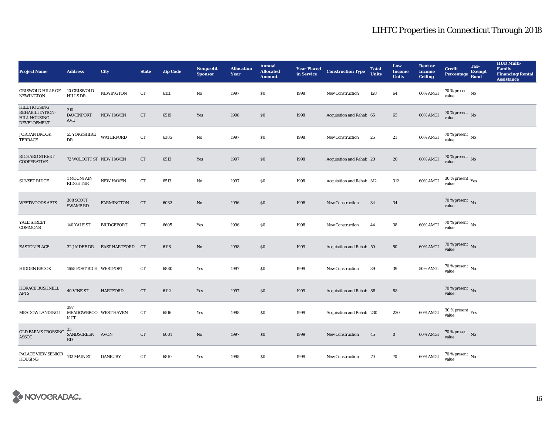| <b>Project Name</b>                                                                       | <b>Address</b>                       | <b>City</b>       | <b>State</b> | <b>Zip Code</b> | <b>Nonprofit</b><br><b>Sponsor</b> | <b>Allocation</b><br>Year | <b>Annual</b><br><b>Allocated</b><br><b>Amount</b> | <b>Year Placed<br/>in Service</b> | <b>Construction Type</b>  | <b>Total</b><br><b>Units</b> | Low<br><b>Income</b><br><b>Units</b> | <b>Rent or</b><br><b>Income</b><br><b>Ceiling</b> | <b>Credit</b><br><b>Percentage</b>      | Tax-<br><b>Exempt</b><br><b>Bond</b> | <b>HUD Multi-</b><br>Family<br><b>Financing/Rental</b><br><b>Assistance</b> |
|-------------------------------------------------------------------------------------------|--------------------------------------|-------------------|--------------|-----------------|------------------------------------|---------------------------|----------------------------------------------------|-----------------------------------|---------------------------|------------------------------|--------------------------------------|---------------------------------------------------|-----------------------------------------|--------------------------------------|-----------------------------------------------------------------------------|
| <b>GRISWOLD HILLS OF</b><br><b>NEWINGTON</b>                                              | 10 GRISWOLD<br><b>HILLS DR</b>       | <b>NEWINGTON</b>  | CT           | 6111            | No                                 | 1997                      | \$0                                                | 1998                              | New Construction          | 128                          | 64                                   | 60% AMGI                                          | 70 % present $\,$ No $\,$<br>value      |                                      |                                                                             |
| <b>HILL HOUSING</b><br><b>REHABILITATION</b><br><b>HILL HOUSING</b><br><b>DEVELOPMENT</b> | 210<br><b>DAVENPORT</b><br>AVE       | <b>NEW HAVEN</b>  | ${\rm CT}$   | 6519            | Yes                                | 1996                      | \$0                                                | 1998                              | Acquisition and Rehab 65  |                              | 65                                   | 60% AMGI                                          | $70\,\%$ present $\,$ No value          |                                      |                                                                             |
| <b>JORDAN BROOK</b><br>TERRACE                                                            | <b>55 YORKSHIRE</b><br>DR            | <b>WATERFORD</b>  | CT           | 6385            | No                                 | 1997                      | $\$0$                                              | 1998                              | <b>New Construction</b>   | 25                           | 21                                   | 60% AMGI                                          | $70$ % present $\,$ No value            |                                      |                                                                             |
| RICHARD STREET<br><b>COOPERATIVE</b>                                                      | 72 WOLCOTT ST NEW HAVEN              |                   | ${\rm CT}$   | 6513            | Yes                                | 1997                      | \$0                                                | 1998                              | Acquisition and Rehab 20  |                              | 20                                   | $60\%$ AMGI                                       | $70\,\%$ present $\,$ No value          |                                      |                                                                             |
| <b>SUNSET RIDGE</b>                                                                       | 1 MOUNTAIN<br>RIDGE TER              | NEW HAVEN         | CT           | 6513            | No                                 | 1997                      | \$0                                                | 1998                              | Acquisition and Rehab 312 |                              | 312                                  | 60% AMGI                                          | $30\,\%$ present $\,$ Yes value         |                                      |                                                                             |
| <b>WESTWOODS APTS</b>                                                                     | 308 SCOTT<br><b>SWAMP RD</b>         | <b>FARMINGTON</b> | CT           | 6032            | $\mathbf{N}\mathbf{o}$             | 1996                      | \$0                                                | 1998                              | New Construction          | 34                           | 34                                   |                                                   | $70$ % present $\,$ No value            |                                      |                                                                             |
| YALE STREET<br><b>COMMONS</b>                                                             | 140 YALE ST                          | <b>BRIDGEPORT</b> | <b>CT</b>    | 6605            | Yes                                | 1996                      | $\$0$                                              | 1998                              | New Construction          | 44                           | 38                                   | 60% AMGI                                          | 70 % present $\,$ No $\,$<br>value      |                                      |                                                                             |
| <b>EASTON PLACE</b>                                                                       | 32 JAIDEE DR                         | EAST HARTFORD CT  |              | 6118            | No                                 | 1998                      | \$0                                                | 1999                              | Acquisition and Rehab 50  |                              | 50                                   | 60% AMGI                                          | $70\,\%$ present $\,$ No value          |                                      |                                                                             |
| HIDDEN BROOK                                                                              | 1655 POST RD E WESTPORT              |                   | CT           | 6880            | Yes                                | 1997                      | $\$0$                                              | 1999                              | New Construction          | 39                           | 39                                   | <b>50% AMGI</b>                                   | $70$ % present $\,$ No value            |                                      |                                                                             |
| HORACE BUSHNELL<br><b>APTS</b>                                                            | <b>40 VINE ST</b>                    | <b>HARTFORD</b>   | ${\rm CT}$   | 6112            | Yes                                | 1997                      | \$0                                                | 1999                              | Acquisition and Rehab 88  |                              | 88                                   |                                                   | $70\,\%$ present $\,$ No value          |                                      |                                                                             |
| <b>MEADOW LANDING I</b>                                                                   | 397<br>MEADOWBROO WEST HAVEN<br>K CT |                   | CT           | 6516            | Yes                                | 1998                      | \$0                                                | 1999                              | Acquisition and Rehab 230 |                              | 230                                  | 60% AMGI                                          | $30\,\%$ present $\,\mathrm{Yes}$ value |                                      |                                                                             |
| OLD FARMS CROSSING<br>ASSOC                                                               | 35<br>SANDSCREEN AVON<br><b>RD</b>   |                   | CT           | 6001            | No                                 | 1997                      | \$0\$                                              | 1999                              | <b>New Construction</b>   | 45                           | $\bf{0}$                             | $60\%$ AMGI                                       | $70\,\%$ present $\,$ No value          |                                      |                                                                             |
| PALACE VIEW SENIOR<br><b>HOUSING</b>                                                      | 132 MAIN ST                          | <b>DANBURY</b>    | CT           | 6810            | Yes                                | 1998                      | \$0                                                | 1999                              | <b>New Construction</b>   | 70                           | 70                                   | 60% AMGI                                          | $70\,\%$ present $_{\rm{No}}$           |                                      |                                                                             |

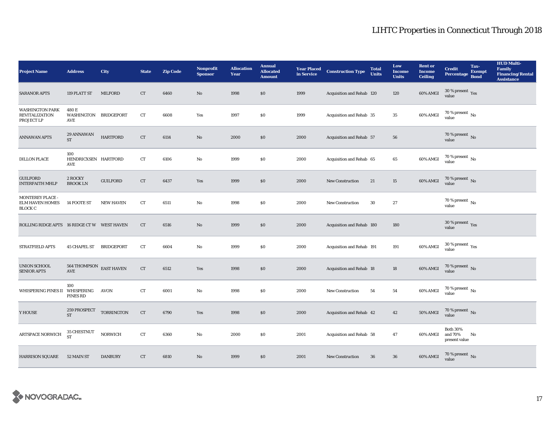| <b>Project Name</b>                                           | <b>Address</b>                                         | <b>City</b>       | <b>State</b> | <b>Zip Code</b> | Nonprofit<br><b>Sponsor</b> | <b>Allocation</b><br>Year | <b>Annual</b><br><b>Allocated</b><br><b>Amount</b> | <b>Year Placed<br/>in Service</b> | <b>Construction Type</b>  | <b>Total</b><br><b>Units</b> | Low<br><b>Income</b><br><b>Units</b> | <b>Rent or</b><br><b>Income</b><br><b>Ceiling</b> | <b>Credit</b><br><b>Percentage</b>          | Tax-<br><b>Exempt</b><br><b>Bond</b> | <b>HUD Multi-</b><br><b>Family</b><br><b>Financing/Rental</b><br><b>Assistance</b> |
|---------------------------------------------------------------|--------------------------------------------------------|-------------------|--------------|-----------------|-----------------------------|---------------------------|----------------------------------------------------|-----------------------------------|---------------------------|------------------------------|--------------------------------------|---------------------------------------------------|---------------------------------------------|--------------------------------------|------------------------------------------------------------------------------------|
| <b>SARANOR APTS</b>                                           | 119 PLATT ST                                           | <b>MILFORD</b>    | CT           | 6460            | No                          | 1998                      | \$0                                                | 1999                              | Acquisition and Rehab 120 |                              | 120                                  | 60% AMGI                                          | $30\,\%$ present $\,$ Yes value             |                                      |                                                                                    |
| <b>WASHINGTON PARK</b><br><b>REVITALIZATION</b><br>PROJECT LP | 480 E<br>WASHINGTON BRIDGEPORT<br>AVE                  |                   | CT           | 6608            | Yes                         | 1997                      | \$0                                                | 1999                              | Acquisition and Rehab 35  |                              | $35\,$                               | 60% AMGI                                          | $70\,\%$ present $\,$ No value              |                                      |                                                                                    |
| <b>ANNAWAN APTS</b>                                           | 29 ANNAWAN<br>${\rm ST}$                               | <b>HARTFORD</b>   | CT           | 6114            | No                          | 2000                      | \$0                                                | 2000                              | Acquisition and Rehab 57  |                              | 56                                   |                                                   | $70\,\%$ present $\,$ No value              |                                      |                                                                                    |
| <b>DILLON PLACE</b>                                           | 100<br>HENDRICXSEN HARTFORD<br>AVE                     |                   | CT           | 6106            | No                          | 1999                      | \$0                                                | 2000                              | Acquisition and Rehab 65  |                              | 65                                   | 60% AMGI                                          | $70\,\%$ present $\,$ No value              |                                      |                                                                                    |
| <b>GUILFORD</b><br><b>INTERFAITH MHLP</b>                     | 2 ROCKY<br><b>BROOK LN</b>                             | <b>GUILFORD</b>   | ${\rm CT}$   | 6437            | Yes                         | 1999                      | $\$0$                                              | 2000                              | New Construction          | 21                           | 15                                   | 60% AMGI                                          | $70$ % present $\,$ No value                |                                      |                                                                                    |
| MONTEREY PLACE -<br><b>ELM HAVEN HOMES</b><br><b>BLOCK C</b>  | 14 FOOTE ST                                            | <b>NEW HAVEN</b>  | CT           | 6511            | No                          | 1998                      | \$0                                                | 2000                              | <b>New Construction</b>   | 30                           | 27                                   |                                                   | $70$ % present $\,$ No value                |                                      |                                                                                    |
| ROLLING RIDGE APTS 16 RIDGE CT W WEST HAVEN                   |                                                        |                   | CT           | 6516            | No                          | 1999                      | \$0                                                | 2000                              | Acquisition and Rehab 180 |                              | 180                                  |                                                   | $30\,\%$ present $\,$ Yes value             |                                      |                                                                                    |
| STRATFIELD APTS                                               | 45 CHAPEL ST BRIDGEPORT                                |                   | <b>CT</b>    | 6604            | No                          | 1999                      | \$0\$                                              | 2000                              | Acquisition and Rehab 191 |                              | 191                                  | 60% AMGI                                          | $30\,\%$ present $\,\mathrm{Yes}$ value     |                                      |                                                                                    |
| UNION SCHOOL<br><b>SENIOR APTS</b>                            | $564$ THOMPSON $\;$ EAST HAVEN<br>$\operatorname{AVE}$ |                   | ${\rm CT}$   | 6512            | Yes                         | 1998                      | \$0                                                | 2000                              | Acquisition and Rehab 18  |                              | 18                                   | 60% AMGI                                          | $70$ % present $\,$ No value                |                                      |                                                                                    |
| WHISPERING PINES II                                           | 100<br>WHISPERING<br>PINES RD                          | AVON              | <b>CT</b>    | 6001            | No                          | 1998                      | $\$0$                                              | 2000                              | <b>New Construction</b>   | 54                           | 54                                   | 60% AMGI                                          | $70$ % present $\,$ No value                |                                      |                                                                                    |
| Y HOUSE                                                       | 259 PROSPECT<br>ST                                     | <b>TORRINGTON</b> | ${\rm CT}$   | 6790            | Yes                         | 1998                      | \$0\$                                              | 2000                              | Acquisition and Rehab 42  |                              | 42                                   | $50\%$ AMGI                                       | $70$ % present $\,$ No value                |                                      |                                                                                    |
| ARTSPACE NORWICH                                              | 35 CHESTNUT<br><b>ST</b>                               | <b>NORWICH</b>    | <b>CT</b>    | 6360            | No                          | 2000                      | \$0                                                | 2001                              | Acquisition and Rehab 58  |                              | 47                                   | 60% AMGI                                          | <b>Both 30%</b><br>and 70%<br>present value | No                                   |                                                                                    |
| <b>HARRISON SQUARE</b>                                        | 52 MAIN ST                                             | <b>DANBURY</b>    | CT           | 6810            | No                          | 1999                      | \$0\$                                              | 2001                              | <b>New Construction</b>   | 36                           | 36                                   | 60% AMGI                                          | $70$ % present $\,$ No value                |                                      |                                                                                    |

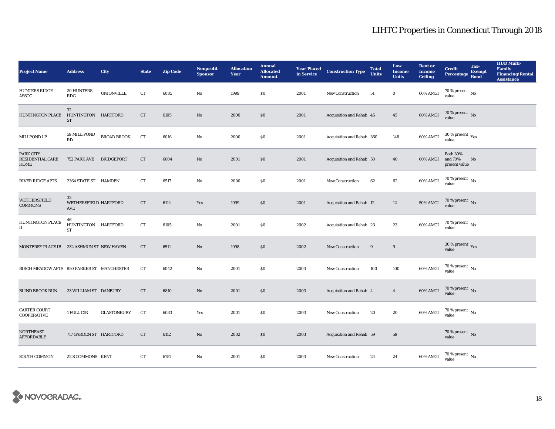| <b>Project Name</b>                        | <b>Address</b>                             | City               | <b>State</b> | <b>Zip Code</b> | Nonprofit<br><b>Sponsor</b> | <b>Allocation</b><br>Year | <b>Annual</b><br><b>Allocated</b><br><b>Amount</b> | <b>Year Placed<br/>in Service</b> | <b>Construction Type</b>  | <b>Total</b><br><b>Units</b> | Low<br><b>Income</b><br><b>Units</b> | <b>Rent or</b><br><b>Income</b><br><b>Ceiling</b> | <b>Credit</b><br><b>Percentage</b>              | Tax-<br><b>Exempt</b><br><b>Bond</b> | <b>HUD Multi-</b><br><b>Family</b><br><b>Financing/Rental</b><br><b>Assistance</b> |
|--------------------------------------------|--------------------------------------------|--------------------|--------------|-----------------|-----------------------------|---------------------------|----------------------------------------------------|-----------------------------------|---------------------------|------------------------------|--------------------------------------|---------------------------------------------------|-------------------------------------------------|--------------------------------------|------------------------------------------------------------------------------------|
| <b>HUNTERS RIDGE</b><br>ASSOC              | <b>20 HUNTERS</b><br><b>RDG</b>            | <b>UNIONVILLE</b>  | ${\rm CT}$   | 6085            | $\mathbf{N}\mathbf{o}$      | 1999                      | \$0                                                | 2001                              | New Construction          | 51                           | $\bf{0}$                             | 60% AMGI                                          | 70 % present $\,$ No $\,$<br>value              |                                      |                                                                                    |
| <b>HUNTINGTON PLACE</b>                    | $32\,$<br>HUNTINGTON HARTFORD<br><b>ST</b> |                    | CT           | 6105            | $\rm No$                    | 2000                      | \$0                                                | 2001                              | Acquisition and Rehab 45  |                              | 45                                   | 60% AMGI                                          | $70$ % present $\,$ No value                    |                                      |                                                                                    |
| MILLPOND LP                                | 59 MILL POND<br>RD                         | <b>BROAD BROOK</b> | CT           | 6016            | $\mathbf{No}$               | 2000                      | $\$0$                                              | 2001                              | Acquisition and Rehab 360 |                              | 148                                  | 60% AMGI                                          | $30\,\%$ present $\,$ Yes value                 |                                      |                                                                                    |
| PARK CITY<br>RESIDENTIAL CARE<br>HOME      | 752 PARK AVE BRIDGEPORT                    |                    | ${\rm CT}$   | 6604            | $\rm No$                    | 2001                      | $\$0$                                              | 2001                              | Acquisition and Rehab 50  |                              | 40                                   | 60% AMGI                                          | <b>Both 30%</b><br>and 70%<br>present value     | No                                   |                                                                                    |
| <b>RIVER RIDGE APTS</b>                    | 2364 STATE ST HAMDEN                       |                    | ${\rm CT}$   | 6517            | $\mathbf{N}\mathbf{o}$      | 2000                      | $\$0$                                              | 2001                              | New Construction          | 62                           | 62                                   | 60% AMGI                                          | 70 % present $\,$ No $\,$<br>value              |                                      |                                                                                    |
| WETHERSFIELD<br><b>COMMONS</b>             | 32<br>WETHERSFIELD HARTFORD<br>AVE         |                    | ${\rm CT}$   | 6114            | Yes                         | 1999                      | $\$0$                                              | 2001                              | Acquisition and Rehab 12  |                              | 12                                   | <b>50% AMGI</b>                                   | $70\,\%$ present $\,$ No value                  |                                      |                                                                                    |
| HUNTINGTON PLACE<br>$\scriptstyle\rm II$   | 46<br>HUNTINGTON HARTFORD<br>ST            |                    | ${\rm CT}$   | 6105            | No                          | 2001                      | \$0                                                | 2002                              | Acquisition and Rehab 23  |                              | 23                                   | 60% AMGI                                          | 70 % present $\,$ No $\,$<br>value              |                                      |                                                                                    |
| MONTEREY PLACE IB 232 ASHMUN ST NEW HAVEN  |                                            |                    | CT           | 6511            | $\rm No$                    | 1998                      | $\$0$                                              | 2002                              | New Construction          | 9                            | 9                                    |                                                   | 30 % present $\sqrt{\gamma_{\rm{ES}}}$<br>value |                                      |                                                                                    |
| BIRCH MEADOW APTS 850 PARKER ST MANCHESTER |                                            |                    | CT           | 6042            | $\mathbf{No}$               | 2001                      | $\$0$                                              | 2003                              | <b>New Construction</b>   | 100                          | 100                                  | 60% AMGI                                          | $70$ % present $\,$ No value                    |                                      |                                                                                    |
| <b>BLIND BROOK RUN</b>                     | 23 WILLIAM ST DANBURY                      |                    | ${\rm CT}$   | 6810            | $\mathbf{N}\mathbf{o}$      | 2001                      | $\$0$                                              | 2003                              | Acquisition and Rehab 4   |                              | $\overline{4}$                       | 60% AMGI                                          | $70$ % present $\,$ No value                    |                                      |                                                                                    |
| <b>CARTER COURT</b><br><b>COOPERATIVE</b>  | 1 FULL CIR                                 | <b>GLASTONBURY</b> | CT           | 6033            | Yes                         | 2001                      | \$0                                                | 2003                              | <b>New Construction</b>   | 20                           | 20                                   | 60% AMGI                                          | $70$ % present $\,$ No value                    |                                      |                                                                                    |
| <b>NORTHEAST</b><br><b>AFFORDABLE</b>      | 717 GARDEN ST HARTFORD                     |                    | CT           | 6112            | $\mathbf{N}\mathbf{o}$      | 2002                      | $\$0$                                              | 2003                              | Acquisition and Rehab 59  |                              | 59                                   |                                                   | 70 % present $\,$ No $\,$<br>value              |                                      |                                                                                    |
| <b>SOUTH COMMON</b>                        | 22 S COMMONS KENT                          |                    | CT           | 6757            | No                          | 2001                      | $\$0$                                              | 2003                              | <b>New Construction</b>   | 24                           | 24                                   | 60% AMGI                                          | 70 % present $\,$ No $\,$<br>value              |                                      |                                                                                    |

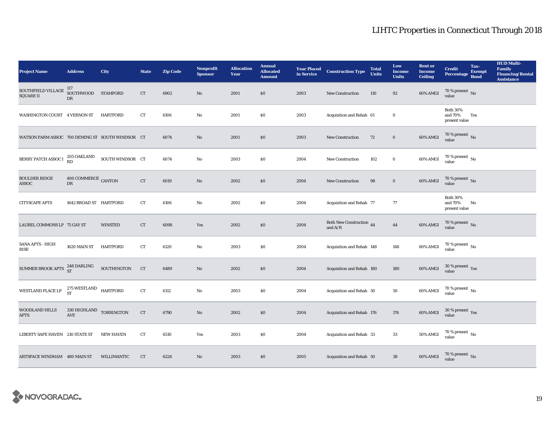| <b>Project Name</b>                              | <b>Address</b>                                            | City             | <b>State</b> | <b>Zip Code</b> | Nonprofit<br><b>Sponsor</b> | <b>Allocation</b><br>Year | <b>Annual</b><br><b>Allocated</b><br><b>Amount</b> |      | <b>Year Placed Construction Type</b><br>in Service | <b>Total</b><br><b>Units</b> | Low<br><b>Income</b><br><b>Units</b> | <b>Rent</b> or<br><b>Income</b><br><b>Ceiling</b> | <b>Credit</b><br><b>Percentage</b>          | Tax-<br><b>Exempt</b><br><b>Bond</b> | <b>HUD Multi-</b><br><b>Family<br/>Financing/Rental</b><br><b>Assistance</b> |
|--------------------------------------------------|-----------------------------------------------------------|------------------|--------------|-----------------|-----------------------------|---------------------------|----------------------------------------------------|------|----------------------------------------------------|------------------------------|--------------------------------------|---------------------------------------------------|---------------------------------------------|--------------------------------------|------------------------------------------------------------------------------|
| SOUTHFIELD VILLAGE<br><b>SQUARE II</b>           | 117<br>SOUTHWOOD STAMFORD<br>DR                           |                  | CT           | 6902            | $\rm No$                    | 2001                      | \$0                                                | 2003 | New Construction                                   | 110                          | 92                                   | 60% AMGI                                          | $70\,\%$ present $\,$ No value              |                                      |                                                                              |
| WASHINGTON COURT 4 VERNON ST                     |                                                           | HARTFORD         | CT           | 6106            | $\mathbf{No}$               | 2001                      | <b>SO</b>                                          | 2003 | Acquisition and Rehab 61                           |                              | $\bf{0}$                             |                                                   | <b>Both 30%</b><br>and 70%<br>present value | Yes                                  |                                                                              |
| WATSON FARM ASSOC 700 DEMING ST SOUTH WINDSOR CT |                                                           |                  |              | 6074            | $\rm No$                    | 2001                      | \$0                                                | 2003 | New Construction                                   | 72                           | $\mathbf 0$                          | 60% AMGI                                          | 70 % present $\,$ No $\,$<br>value          |                                      |                                                                              |
| BERRY PATCH ASSOC I 205 OAKLAND                  |                                                           | SOUTH WINDSOR CT |              | 6074            | No                          | 2003                      | \$0                                                | 2004 | New Construction                                   | 102                          | $\bf{0}$                             | 60% AMGI                                          | $70$ % present $\,$ No value                |                                      |                                                                              |
| <b>BOULDER RIDGE</b><br><b>ASSOC</b>             | 400 COMMERCE CANTON<br>DR                                 |                  | ${\rm CT}$   | 6019            | $\rm No$                    | 2002                      | \$0                                                | 2004 | New Construction                                   | 98                           | $\mathbf 0$                          | 60% AMGI                                          | $70$ % present $_{\rm{No}}$                 |                                      |                                                                              |
| <b>CITYSCAPE APTS</b>                            | 1642 BROAD ST HARTFORD                                    |                  | CT           | 6106            | $\mathbf{N}\mathbf{o}$      | 2002                      | <b>SO</b>                                          | 2004 | Acquisition and Rehab 77                           |                              | 77                                   |                                                   | <b>Both 30%</b><br>and 70%<br>present value | No                                   |                                                                              |
| LAUREL COMMONS LP 75 GAY ST                      |                                                           | <b>WINSTED</b>   | ${\rm CT}$   | 6098            | Yes                         | 2002                      | \$0                                                | 2004 | Both New Construction 44<br>and $A/R$              |                              | $\bf 44$                             | 60% AMGI                                          | $70\%$ present No<br>value                  |                                      |                                                                              |
| <b>SANA APTS - HIGH</b><br><b>RISE</b>           | 1620 MAIN ST                                              | HARTFORD         | ${\rm CT}$   | 6120            | $\mathbf{N}\mathbf{o}$      | 2003                      | \$0                                                | 2004 | Acquisition and Rehab 148                          |                              | 148                                  | 60% AMGI                                          | 70 % present $\,$ No $\,$<br>value          |                                      |                                                                              |
| SUMMER BROOK APTS 248 DARLING                    |                                                           | SOUTHINGTON      | CT           | 6489            | $\rm No$                    | 2002                      | \$0                                                | 2004 | Acquisition and Rehab 180                          |                              | 180                                  | <b>60% AMGI</b>                                   | $30\,\%$ present $\,$ Yes value             |                                      |                                                                              |
| WESTLAND PLACE LP                                | $275\, \rm{WESTLAND}$ $_{\rm HARTFORD}$ $_{\rm HARTFORD}$ |                  | CT           | 6112            | $_{\rm No}$                 | 2003                      | $\$0$                                              | 2004 | Acquisition and Rehab 50                           |                              | 50                                   | $60\%$ AMGI                                       | $70$ % present $\,$ No value                |                                      |                                                                              |
| WOODLAND HILLS<br><b>APTS</b>                    | $330\,$ HIGHLAND $\,$ TORRINGTON<br><b>AVE</b>            |                  | CT           | 6790            | $\rm No$                    | 2002                      | \$0                                                | 2004 | Acquisition and Rehab 176                          |                              | 176                                  | 60% AMGI                                          | $30\,\%$ present $\,$ Yes value             |                                      |                                                                              |
| LIBERTY SAFE HAVEN 210 STATE ST                  |                                                           | <b>NEW HAVEN</b> | ${\rm CT}$   | 6510            | Yes                         | 2003                      | \$0                                                | 2004 | Acquisition and Rehab 33                           |                              | 33                                   | 50% AMGI                                          | $70\,\%$ present $\,$ No value              |                                      |                                                                              |
| ARTSPACE WINDHAM 480 MAIN ST                     |                                                           | WILLIMANTIC      | CT           | 6226            | $\rm No$                    | 2003                      | \$0                                                | 2005 | Acquisition and Rehab 50                           |                              | 38                                   | 60% AMGI                                          | $70\,\%$ present $\,$ No value              |                                      |                                                                              |

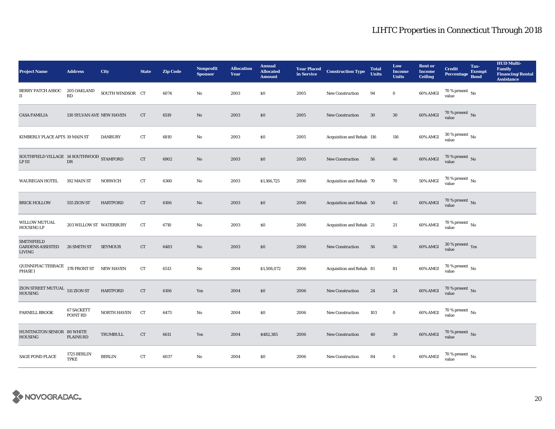| <b>Project Name</b>                                            | <b>Address</b>                        | <b>City</b>      | <b>State</b> | <b>Zip Code</b> | <b>Nonprofit</b><br><b>Sponsor</b> | <b>Allocation</b><br>Year | <b>Annual</b><br><b>Allocated</b><br><b>Amount</b> | <b>Year Placed<br/>in Service</b> | <b>Construction Type</b>  | <b>Total</b><br><b>Units</b> | Low<br><b>Income</b><br><b>Units</b> | <b>Rent or</b><br><b>Income</b><br><b>Ceiling</b> | <b>Credit</b><br><b>Percentage</b>       | Tax-<br><b>Exempt</b><br><b>Bond</b> | <b>HUD Multi-</b><br>Family<br><b>Financing/Rental</b><br><b>Assistance</b> |
|----------------------------------------------------------------|---------------------------------------|------------------|--------------|-----------------|------------------------------------|---------------------------|----------------------------------------------------|-----------------------------------|---------------------------|------------------------------|--------------------------------------|---------------------------------------------------|------------------------------------------|--------------------------------------|-----------------------------------------------------------------------------|
| BERRY PATCH ASSOC<br>$_{\rm II}$                               | 205 OAKLAND<br>$\mathbb{R}\mathbb{D}$ | SOUTH WINDSOR CT |              | 6074            | No                                 | 2003                      | \$0                                                | 2005                              | New Construction          | 94                           | $\mathbf 0$                          | 60% AMGI                                          | 70 % present $\,$ No $\,$<br>value       |                                      |                                                                             |
| <b>CASA FAMILIA</b>                                            | <b>130 SYLVAN AVE NEW HAVEN</b>       |                  | CT           | 6519            | No                                 | 2003                      | \$0                                                | 2005                              | <b>New Construction</b>   | 30                           | $30\,$                               | 60% AMGI                                          | $70$ % present $\,$ No value             |                                      |                                                                             |
| KIMBERLY PLACE APTS 19 MAIN ST                                 |                                       | <b>DANBURY</b>   | CT           | 6810            | No                                 | 2003                      | \$0                                                | 2005                              | Acquisition and Rehab 116 |                              | 116                                  | 60% AMGI                                          | $30$ % present $\,$ No value             |                                      |                                                                             |
| SOUTHFIELD VILLAGE 14 SOUTHWOOD STAMFORD<br>$LP$ $III$         | ${\rm DR}$                            |                  | CT           | 6902            | $\mathbf{N}\mathbf{o}$             | 2003                      | \$0                                                | 2005                              | New Construction          | 56                           | 46                                   | 60% AMGI                                          | 70 % present $\,$ No $\,$<br>value       |                                      |                                                                             |
| <b>WAUREGAN HOTEL</b>                                          | 192 MAIN ST                           | <b>NORWICH</b>   | CT           | 6360            | No                                 | 2003                      | \$1,166,725                                        | 2006                              | Acquisition and Rehab 70  |                              | 70                                   | 50% AMGI                                          | $70$ % present $\,$ No value             |                                      |                                                                             |
| <b>BRICK HOLLOW</b>                                            | 555 ZION ST                           | <b>HARTFORD</b>  | CT           | 6106            | No                                 | 2003                      | \$0                                                | 2006                              | Acquisition and Rehab 50  |                              | 43                                   | $60\%$ AMGI                                       | $70$ % present $\,$ No value             |                                      |                                                                             |
| WILLOW MUTUAL<br><b>HOUSING LP</b>                             | 203 WILLOW ST WATERBURY               |                  | CT           | 6710            | No                                 | 2003                      | \$0                                                | 2006                              | Acquisition and Rehab 21  |                              | 21                                   | 60% AMGI                                          | 70 % present $\,$ No $\,$<br>value       |                                      |                                                                             |
| <b>SMITHFIELD</b><br><b>GARDENS ASSISTED</b><br>LIVING         | 26 SMITH ST                           | <b>SEYMOUR</b>   | CT           | 6483            | No                                 | 2003                      | \$0                                                | 2006                              | <b>New Construction</b>   | 56                           | 56                                   | 60% AMGI                                          | $30\,\%$ present $\,$ $\rm Yes$<br>value |                                      |                                                                             |
| QUINNIPIAC TERRACE $\,$ 378 FRONT ST $\,$ NEW HAVEN<br>PHASE I |                                       |                  | ${\rm CT}$   | 6513            | No                                 | 2004                      | \$1,508,072                                        | 2006                              | Acquisition and Rehab 81  |                              | 81                                   | 60% AMGI                                          | $70$ % present $\,$ No value             |                                      |                                                                             |
| ZION STREET MUTUAL 511 ZION ST<br><b>HOUSING</b>               |                                       | <b>HARTFORD</b>  | CT           | 6106            | Yes                                | 2004                      | \$0                                                | 2006                              | New Construction          | 24                           | 24                                   | 60% AMGI                                          | $70\,\%$ present $\,$ No value           |                                      |                                                                             |
| PARNELL BROOK                                                  | <b>67 SACKETT</b><br>POINT RD         | NORTH HAVEN      | CT           | 6473            | No                                 | 2004                      | \$0                                                | 2006                              | New Construction          | 103                          | $\bf{0}$                             | 60% AMGI                                          | $70$ % present $\,$ No $\,$<br>value     |                                      |                                                                             |
| HUNTINGTON SENIOR 80 WHITE<br><b>HOUSING</b>                   | <b>PLAINS RD</b>                      | TRUMBULL         | CT           | 6611            | Yes                                | 2004                      | \$482,385                                          | 2006                              | New Construction          | 40                           | 39                                   | 60% AMGI                                          | $70\,\%$ present $\,$ No value           |                                      |                                                                             |
| <b>SAGE POND PLACE</b>                                         | 1725 BERLIN<br><b>TPKE</b>            | <b>BERLIN</b>    | ${\rm CT}$   | 6037            | No                                 | 2004                      | \$0                                                | 2006                              | <b>New Construction</b>   | 84                           | $\bf{0}$                             | 60% AMGI                                          | 70 % present $\,$ No $\,$<br>value       |                                      |                                                                             |

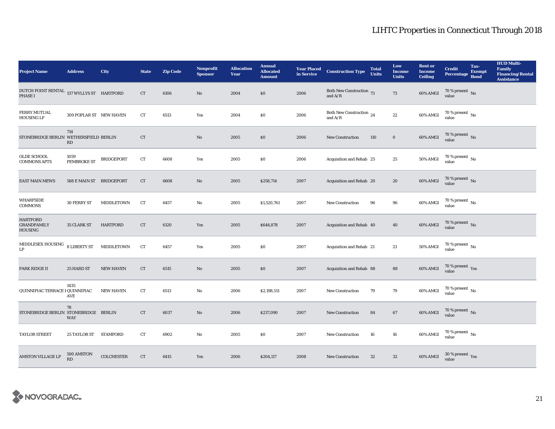| <b>Project Name</b>                                     | <b>Address</b>           | City              | <b>State</b> | <b>Zip Code</b> | <b>Nonprofit</b><br><b>Sponsor</b> | <b>Allocation</b><br>Year | <b>Annual</b><br><b>Allocated</b><br><b>Amount</b> |      | <b>Year Placed Construction Type</b><br>in Service      | <b>Total</b><br><b>Units</b> | Low<br><b>Income</b><br><b>Units</b> | <b>Rent</b> or<br><b>Income</b><br><b>Ceiling</b> | <b>Credit</b><br><b>Percentage</b>   | Tax-<br><b>Exempt</b><br><b>Bond</b> | <b>HUD Multi-</b><br>Family<br><b>Financing/Rental</b><br><b>Assistance</b> |
|---------------------------------------------------------|--------------------------|-------------------|--------------|-----------------|------------------------------------|---------------------------|----------------------------------------------------|------|---------------------------------------------------------|------------------------------|--------------------------------------|---------------------------------------------------|--------------------------------------|--------------------------------------|-----------------------------------------------------------------------------|
| DUTCH POINT RENTAL 137 WYLLYS ST HARTFORD<br>PHASE I    |                          |                   | CT           | 6106            | No                                 | 2004                      | \$0                                                | 2006 | Both New Construction 73<br>and $\mathrm{A}/\mathrm{R}$ |                              | 73                                   | 60% AMGI                                          | $70\,\%$ present $\,$ No value       |                                      |                                                                             |
| FERRY MUTUAL<br><b>HOUSING LP</b>                       | 309 POPLAR ST NEW HAVEN  |                   | ${\rm CT}$   | 6513            | Yes                                | 2004                      | \$0                                                | 2006 | Both New Construction 24<br>and $A/R$                   |                              | $22\,$                               | 60% AMGI                                          | $70\,\%$ present $\,$ No value       |                                      |                                                                             |
| STONEBRIDGE BERLIN WETHERSFIELD BERLIN                  | 714<br>RD                |                   | <b>CT</b>    |                 | $\rm No$                           | 2005                      | \$0                                                | 2006 | <b>New Construction</b>                                 | 110                          | $\bf{0}$                             | 60% AMGI                                          | $70\,\%$ present $\,$ No value       |                                      |                                                                             |
| OLDE SCHOOL<br><b>COMMONS APTS</b>                      | 1059<br>PEMBROKE ST      | <b>BRIDGEPORT</b> | CT           | 6608            | Yes                                | 2005                      | \$0                                                | 2006 | Acquisition and Rehab 25                                |                              | 25                                   | <b>50% AMGI</b>                                   | $70\,\%$ present $\,$ No value       |                                      |                                                                             |
| <b>EAST MAIN MEWS</b>                                   | 588 E MAIN ST BRIDGEPORT |                   | <b>CT</b>    | 6608            | No                                 | 2005                      | \$258,714                                          | 2007 | Acquisition and Rehab 20                                |                              | 20                                   | 60% AMGI                                          | $70$ % present $\,$ No value         |                                      |                                                                             |
| <b>WHARFSIDE</b><br><b>COMMONS</b>                      | 30 FERRY ST              | MIDDLETOWN        | CT           | 6457            | No                                 | 2005                      | \$1,520,761                                        | 2007 | New Construction                                        | 96                           | 96                                   | 60% AMGI                                          | $70\,\%$ present $\,$ No value       |                                      |                                                                             |
| <b>HARTFORD</b><br><b>GRANDFAMILY</b><br><b>HOUSING</b> | 35 CLARK ST              | <b>HARTFORD</b>   | ${\rm CT}$   | 6120            | Yes                                | 2005                      | \$644,878                                          | 2007 | Acquisition and Rehab 40                                |                              | 40                                   | 60% AMGI                                          | $70$ % present $\,$ No value         |                                      |                                                                             |
| $\textsc{MIDDLESEX}$ HOUSING<br>$\mathbf{L}\mathbf{P}$  | <b>8 LIBERTY ST</b>      | MIDDLETOWN        | ${\rm CT}$   | 6457            | Yes                                | 2005                      | \$0                                                | 2007 | Acquisition and Rehab 21                                |                              | 21                                   | <b>50% AMGI</b>                                   | 70 % present $\,$ No $\,$<br>value   |                                      |                                                                             |
| PARK RIDGE II                                           | 25 HARD ST               | <b>NEW HAVEN</b>  | CT           | 6515            | $\mathbf{N}\mathbf{o}$             | 2005                      | \$0                                                | 2007 | Acquisition and Rehab 88                                |                              | 88                                   | 60% AMGI                                          | $70\,\%$ present $\,$ Yes value      |                                      |                                                                             |
| QUINNIPIAC TERRACE I QUINNIPIAC                         | 1435<br>AVE              | <b>NEW HAVEN</b>  | CT           | 6513            | No                                 | 2006                      | \$2,198,511                                        | 2007 | New Construction                                        | 79                           | $\bf 79$                             | 60% AMGI                                          | $70$ % present $\,$ No $\,$<br>value |                                      |                                                                             |
| STONEBRIDGE BERLIN STONEBRIDGE BERLIN                   | 78<br><b>WAY</b>         |                   | CT           | 6037            | No                                 | 2006                      | \$237,090                                          | 2007 | <b>New Construction</b>                                 | 84                           | 67                                   | 60% AMGI                                          | $70\,\%$ present $\,$ No value       |                                      |                                                                             |
| <b>TAYLOR STREET</b>                                    | 25 TAYLOR ST STAMFORD    |                   | CT           | 6902            | No                                 | 2005                      | \$0                                                | 2007 | <b>New Construction</b>                                 | 16                           | 16                                   | 60% AMGI                                          | 70 % present $\,$ No $\,$<br>value   |                                      |                                                                             |
| <b>AMSTON VILLAGE LP</b>                                | 500 AMSTON<br>RD         | <b>COLCHESTER</b> | ${\rm CT}$   | 6415            | Yes                                | 2006                      | \$204,117                                          | 2008 | New Construction                                        | 32                           | $32\,$                               | 60% AMGI                                          | $30\,\%$ present $\,$ Yes value      |                                      |                                                                             |

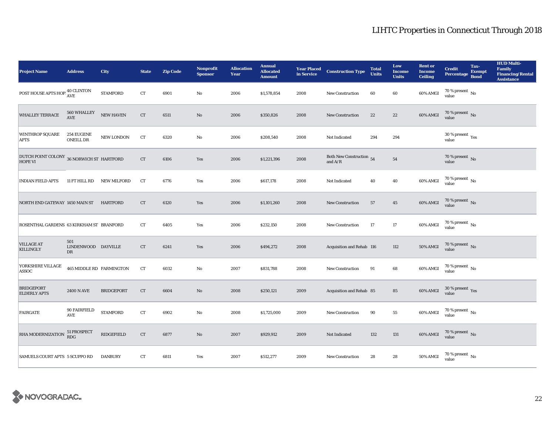| <b>Project Name</b>                                         | <b>Address</b>                        | City               | <b>State</b> | <b>Zip Code</b> | <b>Nonprofit</b><br><b>Sponsor</b> | <b>Allocation</b><br>Year | <b>Annual</b><br><b>Allocated</b><br><b>Amount</b> |      | <b>Year Placed Construction Type</b><br>in Service        | <b>Total</b><br><b>Units</b> | Low<br><b>Income</b><br><b>Units</b> | <b>Rent or</b><br><b>Income</b><br><b>Ceiling</b> | <b>Credit</b><br><b>Percentage</b>     | Tax-<br><b>Exempt</b><br><b>Bond</b> | <b>HUD Multi-</b><br>Family<br><b>Financing/Rental</b><br><b>Assistance</b> |
|-------------------------------------------------------------|---------------------------------------|--------------------|--------------|-----------------|------------------------------------|---------------------------|----------------------------------------------------|------|-----------------------------------------------------------|------------------------------|--------------------------------------|---------------------------------------------------|----------------------------------------|--------------------------------------|-----------------------------------------------------------------------------|
| POST HOUSE APTS HOP $^{40}_{\Lambda \text{VE}}$             |                                       | <b>STAMFORD</b>    | CT           | 6901            | $\mathbf{No}$                      | 2006                      | \$1,578,854                                        | 2008 | New Construction                                          | 60                           | 60                                   | 60% AMGI                                          | 70 % present $\hbox{~No}$<br>value     |                                      |                                                                             |
| WHALLEY TERRACE                                             | 560 WHALLEY<br>$\operatorname{AVE}$   | <b>NEW HAVEN</b>   | ${\rm CT}$   | 6511            | $\rm No$                           | 2006                      | \$350,826                                          | 2008 | <b>New Construction</b>                                   | $2\sqrt{2}$                  | $22\,$                               | $60\%$ AMGI                                       | $70$ % present $\,$ No value           |                                      |                                                                             |
| <b>WINTHROP SQUARE</b><br><b>APTS</b>                       | <b>254 EUGENE</b><br><b>ONEILL DR</b> | NEW LONDON         | CT           | 6320            | $\mathbf{No}$                      | 2006                      | \$208,540                                          | 2008 | Not Indicated                                             | 294                          | 294                                  |                                                   | $30$ % present $\,$ $\rm Yes$<br>value |                                      |                                                                             |
| DUTCH POINT COLONY 36 NORWICH ST HARTFORD<br><b>HOPE VI</b> |                                       |                    | CT           | 6106            | Yes                                | 2006                      | \$1,221,396                                        | 2008 | Both New Construction $54$<br>and $\mathrm{A}/\mathrm{R}$ |                              | 54                                   |                                                   | $70$ % present $\,$ No value           |                                      |                                                                             |
| <b>INDIAN FIELD APTS</b>                                    | 11 FT HILL RD                         | <b>NEW MILFORD</b> | CT           | 6776            | Yes                                | 2006                      | \$617,178                                          | 2008 | Not Indicated                                             | 40                           | 40                                   | 60% AMGI                                          | $70$ % present $\,$ No value           |                                      |                                                                             |
| NORTH END GATEWAY 1450 MAIN ST                              |                                       | HARTFORD           | CT           | 6120            | Yes                                | 2006                      | \$1,101,260                                        | 2008 | <b>New Construction</b>                                   | 57                           | 45                                   | 60% AMGI                                          | $70$ % present $\,$ No value           |                                      |                                                                             |
| ROSENTHAL GARDENS 63 KIRKHAM ST BRANFORD                    |                                       |                    | CT           | 6405            | Yes                                | 2006                      | \$232,150                                          | 2008 | New Construction                                          | 17                           | 17                                   | 60% AMGI                                          | 70 % present $\,$ No $\,$<br>value     |                                      |                                                                             |
| <b>VILLAGE AT</b><br><b>KILLINGLY</b>                       | 501<br>LINDENWOOD DAYVILLE<br>DR      |                    | CT           | 6241            | Yes                                | 2006                      | \$494,272                                          | 2008 | Acquisition and Rehab 116                                 |                              | 112                                  | <b>50% AMGI</b>                                   | $70$ % present $\,$ No value           |                                      |                                                                             |
| YORKSHIRE VILLAGE<br>ASSOC                                  | <b>465 MIDDLE RD FARMINGTON</b>       |                    | CT           | 6032            | $\mathbf{No}$                      | 2007                      | \$831,788                                          | 2008 | <b>New Construction</b>                                   | 91                           | 68                                   | 60% AMGI                                          | $70$ % present $\,$ No $\,$<br>value   |                                      |                                                                             |
| <b>BRIDGEPORT</b><br><b>ELDERLY APTS</b>                    | <b>2400 N AVE</b>                     | <b>BRIDGEPORT</b>  | ${\rm CT}$   | 6604            | $\rm No$                           | 2008                      | \$250,121                                          | 2009 | Acquisition and Rehab 85                                  |                              | ${\bf 85}$                           | 60% AMGI                                          | $30\,\%$ present $\,$ Yes value        |                                      |                                                                             |
| <b>FAIRGATE</b>                                             | 90 FAIRFIELD<br>$\operatorname{AVE}$  | <b>STAMFORD</b>    | CT           | 6902            | No                                 | 2008                      | \$1,725,000                                        | 2009 | New Construction                                          | 90                           | ${\bf 55}$                           | 60% AMGI                                          | $70$ % present $\,$ No value           |                                      |                                                                             |
| RHA MODERNIZATION 51 PROSPECT                               |                                       | <b>RIDGEFIELD</b>  | CT           | 6877            | $\mathbf{N}\mathbf{o}$             | 2007                      | \$929,912                                          | 2009 | Not Indicated                                             | 132                          | 131                                  | 60% AMGI                                          | $70\,\%$ present $\,$ No value         |                                      |                                                                             |
| <b>SAMUELS COURT APTS 5 SCUPPO RD</b>                       |                                       | <b>DANBURY</b>     | CT           | 6811            | Yes                                | 2007                      | \$512,277                                          | 2009 | <b>New Construction</b>                                   | 28                           | 28                                   | 50% AMGI                                          | $70$ % present $\,$ No $\,$<br>value   |                                      |                                                                             |

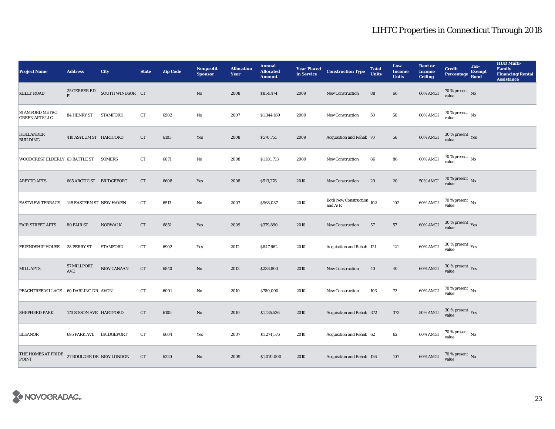| <b>Project Name</b>                     | <b>Address</b>                  | <b>City</b>      | <b>State</b> | <b>Zip Code</b> | Nonprofit<br><b>Sponsor</b> | <b>Allocation</b><br>Year | <b>Annual</b><br><b>Allocated</b><br><b>Amount</b> | <b>Year Placed<br/>in Service</b> | <b>Construction Type</b>               | <b>Total</b><br><b>Units</b> | Low<br><b>Income</b><br><b>Units</b> | <b>Rent or</b><br><b>Income</b><br><b>Ceiling</b> | <b>Credit</b><br><b>Percentage</b> | Tax-<br><b>Exempt</b><br><b>Bond</b> | <b>HUD Multi-</b><br>Family<br>Financing/Rental<br><b>Assistance</b> |
|-----------------------------------------|---------------------------------|------------------|--------------|-----------------|-----------------------------|---------------------------|----------------------------------------------------|-----------------------------------|----------------------------------------|------------------------------|--------------------------------------|---------------------------------------------------|------------------------------------|--------------------------------------|----------------------------------------------------------------------|
| <b>KELLY ROAD</b>                       | 25 GERBER RD<br>$\mathbf E$     | SOUTH WINDSOR CT |              |                 | $\mathbf{No}$               | 2008                      | \$854,474                                          | 2009                              | New Construction                       | 88                           | 66                                   | 60% AMGI                                          | $70\,\%$ present $\,$ No value     |                                      |                                                                      |
| STAMFORD METRO<br><b>GREEN APTS LLC</b> | 84 HENRY ST                     | <b>STAMFORD</b>  | ${\rm CT}$   | 6902            | $\rm No$                    | 2007                      | \$1,344,169                                        | 2009                              | <b>New Construction</b>                | 50                           | ${\bf 50}$                           | 60% AMGI                                          | $70$ % present $\,$ No value       |                                      |                                                                      |
| <b>HOLLANDER</b><br><b>BUILDING</b>     | 410 ASYLUM ST HARTFORD          |                  | CT           | 6103            | Yes                         | 2008                      | \$570,751                                          | 2009                              | Acquisition and Rehab 70               |                              | 56                                   | 60% AMGI                                          | $30\,\%$ present $\,$ Yes value    |                                      |                                                                      |
| <b>WOODCREST ELDERLY 63 BATTLE ST</b>   |                                 | <b>SOMERS</b>    | CT           | 6071            | No                          | 2008                      | \$1,181,713                                        | 2009                              | <b>New Construction</b>                | 86                           | 86                                   | 60% AMGI                                          | $70\,\%$ present $\,$ No value     |                                      |                                                                      |
| <b>AREYTO APTS</b>                      | 665 ARCTIC ST BRIDGEPORT        |                  | ${\rm CT}$   | 6608            | Yes                         | 2008                      | \$513,276                                          | 2010                              | New Construction                       | 20                           | 20                                   | <b>50% AMGI</b>                                   | $70$ % present $\,$ No value       |                                      |                                                                      |
| <b>EASTVIEW TERRACE</b>                 | <b>145 EASTERN ST NEW HAVEN</b> |                  | ${\rm CT}$   | 6513            | No                          | 2007                      | \$968,037                                          | 2010                              | Both New Construction 102<br>and $A/R$ |                              | 102                                  | 60% AMGI                                          | $70\,\%$ present $\,$ No value     |                                      |                                                                      |
| <b>FAIR STREET APTS</b>                 | 80 FAIR ST                      | <b>NORWALK</b>   | ${\rm CT}$   | 6851            | Yes                         | 2009                      | \$379,890                                          | 2010                              | <b>New Construction</b>                | 57                           | ${\bf 57}$                           | 60% AMGI                                          | $30\,\%$ present $\,$ Yes value    |                                      |                                                                      |
| <b>FRIENDSHIP HOUSE</b>                 | 28 PERRY ST                     | <b>STAMFORD</b>  | ${\rm CT}$   | 6902            | Yes                         | 2012                      | \$847,662                                          | 2010                              | Acquisition and Rehab 121              |                              | 121                                  | 60% AMGI                                          | $30\,\%$ present $\,$ Yes value    |                                      |                                                                      |
| <b>MILL APTS</b>                        | 57 MILLPORT<br>AVE              | NEW CANAAN       | ${\rm CT}$   | 6840            | No                          | 2012                      | \$238,803                                          | 2010                              | <b>New Construction</b>                | 40                           | 40                                   | 60% AMGI                                          | $30\,\%$ present $\,$ Yes value    |                                      |                                                                      |
| PEACHTREE VILLAGE                       | 60 DARLING DR AVON              |                  | CT           | 6001            | No                          | 2010                      | \$780,000                                          | 2010                              | New Construction                       | 103                          | 72                                   | 60% AMGI                                          | 70 % present $\,$ No $\,$<br>value |                                      |                                                                      |
| <b>SHEPHERD PARK</b>                    | 170 SISSON AVE HARTFORD         |                  | ${\rm CT}$   | 6105            | $\mathbf{No}$               | 2010                      | \$1,135,536                                        | 2010                              | Acquisition and Rehab 372              |                              | 373                                  | $50\%$ AMGI                                       | $30\,\%$ present $\,$ Yes value    |                                      |                                                                      |
| <b>ELEANOR</b>                          | <b>695 PARK AVE BRIDGEPORT</b>  |                  | CT           | 6604            | Yes                         | 2007                      | \$1,274,576                                        | 2010                              | Acquisition and Rehab 62               |                              | 62                                   | 60% AMGI                                          | $70\,\%$ present $\,$ No value     |                                      |                                                                      |
| THE HOMES AT PRIDE<br><b>POINT</b>      | 27 BOULDER DR NEW LONDON        |                  | CT           | 6320            | No                          | 2009                      | \$1,070,000                                        | 2010                              | Acquisition and Rehab 126              |                              | 107                                  | 60% AMGI                                          | $70\,\%$ present $\,$ No value     |                                      |                                                                      |

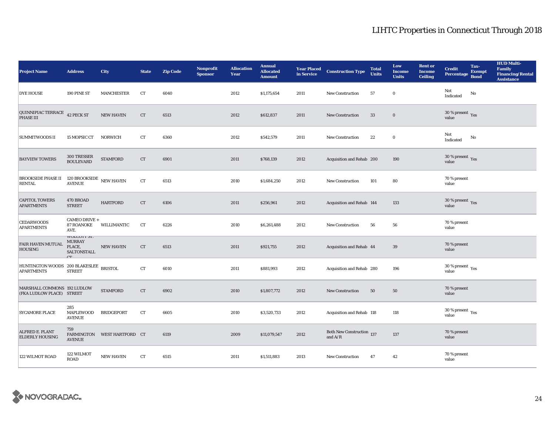| <b>Project Name</b>                                         | <b>Address</b>                                                     | <b>City</b>                 | <b>State</b> | <b>Zip Code</b> | Nonprofit<br><b>Sponsor</b> | <b>Allocation</b><br>Year | <b>Annual</b><br><b>Allocated</b><br><b>Amount</b> |      | <b>Year Placed Construction Type</b><br>in Service | <b>Total</b><br><b>Units</b> | Low<br><b>Income</b><br><b>Units</b> | <b>Rent or</b><br><b>Income</b><br><b>Ceiling</b> | <b>Credit</b><br><b>Percentage</b>          | Tax-<br><b>Exempt</b><br><b>Bond</b> | <b>HUD Multi-</b><br><b>Family</b><br><b>Financing/Rental</b><br><b>Assistance</b> |
|-------------------------------------------------------------|--------------------------------------------------------------------|-----------------------------|--------------|-----------------|-----------------------------|---------------------------|----------------------------------------------------|------|----------------------------------------------------|------------------------------|--------------------------------------|---------------------------------------------------|---------------------------------------------|--------------------------------------|------------------------------------------------------------------------------------|
| <b>DYE HOUSE</b>                                            | 190 PINE ST                                                        | <b>MANCHESTER</b>           | <b>CT</b>    | 6040            |                             | 2012                      | \$1,175,654                                        | 2011 | <b>New Construction</b>                            | 57                           | $\bf{0}$                             |                                                   | Not<br>Indicated                            | No                                   |                                                                                    |
| QUINNIPIAC TERRACE $\,$ 42 PECK ST PHASE III                |                                                                    | <b>NEW HAVEN</b>            | CT           | 6513            |                             | 2012                      | \$612,837                                          | 2011 | <b>New Construction</b>                            | 33                           | $\mathbf 0$                          |                                                   | $30\,\%$ present $\,$ Yes value             |                                      |                                                                                    |
| <b>SUMMITWOODS II</b>                                       | 15 MOPSIC CT                                                       | <b>NORWICH</b>              | CT           | 6360            |                             | 2012                      | \$542,579                                          | 2011 | <b>New Construction</b>                            | 22                           | $\bf{0}$                             |                                                   | Not<br>Indicated                            | No                                   |                                                                                    |
| <b>BAYVIEW TOWERS</b>                                       | 300 TRESSER<br><b>BOULEVARD</b>                                    | <b>STAMFORD</b>             | CT           | 6901            |                             | 2011                      | \$768,139                                          | 2012 | Acquisition and Rehab 200                          |                              | 190                                  |                                                   | $30\,\%$ present $\,$ Yes value             |                                      |                                                                                    |
| <b>BROOKSIDE PHASE II</b><br><b>RENTAL</b>                  | 120 BROOKSIDE $\,$ NEW HAVEN<br><b>AVENUE</b>                      |                             | ${\rm CT}$   | 6513            |                             | 2010                      | \$1,684,250                                        | 2012 | <b>New Construction</b>                            | 101                          | 80                                   |                                                   | 70 % present<br>value                       |                                      |                                                                                    |
| <b>CAPITOL TOWERS</b><br><b>APARTMENTS</b>                  | 470 BROAD<br><b>STREET</b>                                         | <b>HARTFORD</b>             | <b>CT</b>    | 6106            |                             | 2011                      | \$256,961                                          | 2012 | Acquisition and Rehab 144                          |                              | 133                                  |                                                   | $30\,\%$ present $\,$ Yes value             |                                      |                                                                                    |
| <b>CEDARWOODS</b><br><b>APARTMENTS</b>                      | CAMEO DRIVE +<br><b>87 ROANOKE</b><br>AVE.                         | WILLIMANTIC                 | CT           | 6226            |                             | 2010                      | \$6,261,488                                        | 2012 | <b>New Construction</b>                            | 56                           | 56                                   |                                                   | 70 % present<br>value                       |                                      |                                                                                    |
| <b>FAIR HAVEN MUTUAL</b><br><b>HOUSING</b>                  | <b>WULCUTT 31.</b><br><b>MURRAY</b><br>PLACE,<br>SALTONSTALL<br>CT | <b>NEW HAVEN</b>            | ${\rm CT}$   | 6513            |                             | 2011                      | \$921,755                                          | 2012 | Acquisition and Rehab 44                           |                              | 39                                   |                                                   | 70 % present<br>value                       |                                      |                                                                                    |
| HUNTINGTON WOODS 200 BLAKESLEE BRISTOL<br><b>APARTMENTS</b> | <b>STREET</b>                                                      |                             | CT           | 6010            |                             | 2011                      | \$881,993                                          | 2012 | Acquisition and Rehab 280                          |                              | 196                                  |                                                   | 30 % present $\rm \gamma_{\rm es}$<br>value |                                      |                                                                                    |
| MARSHALL COMMONS 192 LUDLOW<br>(FKA LUDLOW PLACE) STREET    |                                                                    | <b>STAMFORD</b>             | ${\rm CT}$   | 6902            |                             | 2010                      | \$1,807,772                                        | 2012 | <b>New Construction</b>                            | 50                           | 50                                   |                                                   | 70 % present<br>value                       |                                      |                                                                                    |
| <b>SYCAMORE PLACE</b>                                       | 285<br>MAPLEWOOD<br><b>AVENUE</b>                                  | <b>BRIDGEPORT</b>           | CT           | 6605            |                             | 2010                      | \$3,520,733                                        | 2012 | Acquisition and Rehab 118                          |                              | 118                                  |                                                   | 30 % present $\rm\,Yes$<br>value            |                                      |                                                                                    |
| ALFRED E. PLANT<br><b>ELDERLY HOUSING</b>                   | 759<br><b>AVENUE</b>                                               | FARMINGTON WEST HARTFORD CT |              | 6119            |                             | 2009                      | \$11,079,547                                       | 2012 | Both New Construction 137<br>and $A/R$             |                              | 137                                  |                                                   | 70 % present<br>value                       |                                      |                                                                                    |
| 122 WILMOT ROAD                                             | 122 WILMOT<br><b>ROAD</b>                                          | <b>NEW HAVEN</b>            | ${\rm CT}$   | 6515            |                             | 2011                      | \$1,511,883                                        | 2013 | <b>New Construction</b>                            | 47                           | 42                                   |                                                   | 70 % present<br>value                       |                                      |                                                                                    |
|                                                             |                                                                    |                             |              |                 |                             |                           |                                                    |      |                                                    |                              |                                      |                                                   |                                             |                                      |                                                                                    |

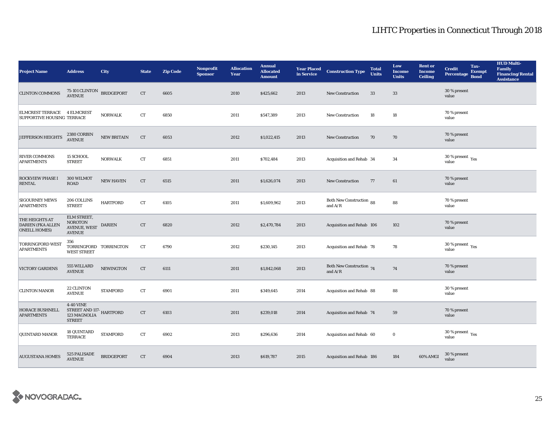| <b>Project Name</b>                                                | <b>Address</b>                                                                   | <b>City</b>       | <b>State</b> | <b>Zip Code</b> | <b>Nonprofit</b><br><b>Sponsor</b> | <b>Allocation</b><br><b>Year</b> | <b>Annual</b><br><b>Allocated</b><br><b>Amount</b> |      | <b>Year Placed Construction Type</b><br>in Service | <b>Total</b><br><b>Units</b> | Low<br><b>Income</b><br><b>Units</b> | <b>Rent</b> or<br><b>Income</b><br><b>Ceiling</b> | <b>Credit</b><br><b>Percentage</b>          | Tax-<br><b>Exempt</b><br><b>Bond</b> | <b>HUD Multi-</b><br><b>Family</b><br><b>Financing/Rental</b><br><b>Assistance</b> |
|--------------------------------------------------------------------|----------------------------------------------------------------------------------|-------------------|--------------|-----------------|------------------------------------|----------------------------------|----------------------------------------------------|------|----------------------------------------------------|------------------------------|--------------------------------------|---------------------------------------------------|---------------------------------------------|--------------------------------------|------------------------------------------------------------------------------------|
| <b>CLINTON COMMONS</b>                                             | $75\text{-}101\,\mathrm{CLINTON}\quad\texttt{BRIDGEPORT}\label{eq:RIC}$ AVENUE   |                   | ${\rm CT}$   | 6605            |                                    | 2010                             | \$425,662                                          | 2013 | New Construction                                   | 33                           | 33                                   |                                                   | 30 % present<br>value                       |                                      |                                                                                    |
| ELMCREST TERRACE 4 ELMCREST<br><b>SUPPORTIVE HOUSING TERRACE</b>   |                                                                                  | <b>NORWALK</b>    | ${\rm CT}$   | 6850            |                                    | 2011                             | \$547,389                                          | 2013 | New Construction                                   | 18                           | 18                                   |                                                   | 70 % present<br>value                       |                                      |                                                                                    |
| JEFFERSON HEIGHTS                                                  | 2380 CORBIN<br><b>AVENUE</b>                                                     | NEW BRITAIN       | CT           | 6053            |                                    | 2012                             | \$1,022,415                                        | 2013 | <b>New Construction</b>                            | 70                           | 70                                   |                                                   | 70 % present<br>value                       |                                      |                                                                                    |
| <b>RIVER COMMONS</b><br><b>APARTMENTS</b>                          | 15 SCHOOL<br><b>STREET</b>                                                       | <b>NORWALK</b>    | ${\rm CT}$   | 6851            |                                    | 2011                             | \$702,484                                          | 2013 | Acquisition and Rehab 34                           |                              | 34                                   |                                                   | 30 % present $\rm \gamma_{\rm PS}$<br>value |                                      |                                                                                    |
| ROCKVIEW PHASE I<br>RENTAL                                         | 300 WILMOT<br><b>ROAD</b>                                                        | <b>NEW HAVEN</b>  | CT           | 6515            |                                    | 2011                             | \$1,626,074                                        | 2013 | <b>New Construction</b>                            | 77                           | 61                                   |                                                   | 70 % present<br>value                       |                                      |                                                                                    |
| <b>SIGOURNEY MEWS</b><br><b>APARTMENTS</b>                         | 206 COLLINS<br><b>STREET</b>                                                     | <b>HARTFORD</b>   | ${\rm CT}$   | 6105            |                                    | 2011                             | \$1,609,962                                        | 2013 | Both New Construction 88<br>and $A/R$              |                              | 88                                   |                                                   | 70 % present<br>value                       |                                      |                                                                                    |
| THE HEIGHTS AT<br><b>DARIEN (FKA ALLEN</b><br><b>ONEILL HOMES)</b> | ELM STREET,<br><b>NOROTON</b><br><b>AVENUE, WEST</b><br><b>AVENUE</b>            | DARIEN            | CT           | 6820            |                                    | 2012                             | \$2,470,784                                        | 2013 | Acquisition and Rehab 106                          |                              | 102                                  |                                                   | 70 % present<br>value                       |                                      |                                                                                    |
| <b>TORRINGFORD WEST</b><br><b>APARTMENTS</b>                       | 356<br>TORRINGFORD TORRINGTON<br><b>WEST STREET</b>                              |                   | ${\rm CT}$   | 6790            |                                    | 2012                             | \$230,145                                          | 2013 | Acquisition and Rehab 78                           |                              | 78                                   |                                                   | 30 % present $\rm \gamma_{\rm es}$<br>value |                                      |                                                                                    |
| VICTORY GARDENS                                                    | 555 WILLARD<br><b>AVENUE</b>                                                     | <b>NEWINGTON</b>  | CT           | 6111            |                                    | 2011                             | \$1,842,068                                        | 2013 | Both New Construction 74<br>and $\rm A/R$          |                              | 74                                   |                                                   | 70 % present<br>value                       |                                      |                                                                                    |
| <b>CLINTON MANOR</b>                                               | 22 CLINTON<br><b>AVENUE</b>                                                      | <b>STAMFORD</b>   | ${\rm CT}$   | 6901            |                                    | 2011                             | \$349,645                                          | 2014 | Acquisition and Rehab 88                           |                              | 88                                   |                                                   | 30 % present<br>value                       |                                      |                                                                                    |
| <b>HORACE BUSHNELL</b><br><b>APARTMENTS</b>                        | <b>4-40 VINE</b><br>STREET AND 117- $\rm HARTFORD$ 123 MAGNOLIA<br><b>STREET</b> |                   | CT           | 6103            |                                    | 2011                             | \$239,018                                          | 2014 | Acquisition and Rehab 74                           |                              | 59                                   |                                                   | 70 % present<br>value                       |                                      |                                                                                    |
| QUINTARD MANOR                                                     | 18 QUINTARD<br><b>TERRACE</b>                                                    | <b>STAMFORD</b>   | CT           | 6902            |                                    | 2013                             | \$296,636                                          | 2014 | Acquisition and Rehab 60                           |                              | $\bf{0}$                             |                                                   | 30 % present $\rm_{Yes}$<br>value           |                                      |                                                                                    |
| <b>AUGUSTANA HOMES</b>                                             | 525 PALISADE<br><b>AVENUE</b>                                                    | <b>BRIDGEPORT</b> | ${\rm CT}$   | 6904            |                                    | 2013                             | \$619,787                                          | 2015 | Acquisition and Rehab 186                          |                              | 184                                  | 60% AMGI                                          | 30 % present<br>value                       |                                      |                                                                                    |

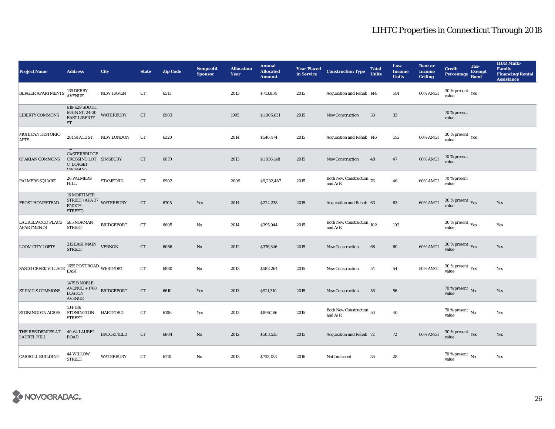| <b>Project Name</b>                                                             | <b>Address</b>                                                                          | <b>City</b>       | <b>State</b> | <b>Zip Code</b> | <b>Nonprofit</b><br><b>Sponsor</b> | <b>Allocation</b><br>Year | <b>Annual</b><br><b>Allocated</b><br><b>Amount</b> | <b>Year Placed</b><br>in Service | <b>Construction Type</b>                         | <b>Total</b><br><b>Units</b> | Low<br><b>Income</b><br><b>Units</b> | <b>Rent or</b><br><b>Income</b><br><b>Ceiling</b> | <b>Credit</b><br><b>Percentage</b>     | Tax-<br><b>Exempt</b><br><b>Bond</b> | <b>HUD Multi-</b><br><b>Family</b><br><b>Financing/Rental</b><br><b>Assistance</b> |
|---------------------------------------------------------------------------------|-----------------------------------------------------------------------------------------|-------------------|--------------|-----------------|------------------------------------|---------------------------|----------------------------------------------------|----------------------------------|--------------------------------------------------|------------------------------|--------------------------------------|---------------------------------------------------|----------------------------------------|--------------------------------------|------------------------------------------------------------------------------------|
| <b>BERGER APARTMENTS</b>                                                        | 135 DERBY<br><b>AVENUE</b>                                                              | <b>NEW HAVEN</b>  | ${\rm CT}$   | 6511            |                                    | 2013                      | \$713,834                                          | 2015                             | Acquisition and Rehab 144                        |                              | 144                                  | 60% AMGI                                          | 30 % present $\rm_{Yes}$<br>value      |                                      |                                                                                    |
| <b>LIBERTY COMMONS</b>                                                          | 619-629 SOUTH<br>MAIN ST. 24-30<br>EAST LIBERTY<br>ST.                                  | <b>WATERBURY</b>  | CT           | 6903            |                                    | 1995                      | \$1,005,631                                        | 2015                             | <b>New Construction</b>                          | 33                           | 33                                   |                                                   | 70 % present<br>value                  |                                      |                                                                                    |
| MOHICAN HISTORIC<br>APTS.                                                       | 281 STATE ST. NEW LONDON                                                                |                   | CT           | 6320            |                                    | 2014                      | \$546,474                                          | 2015                             | Acquisition and Rehab 146                        |                              | 145                                  | 60% AMGI                                          | $30\,\%$ present $\,$ Yes value        |                                      |                                                                                    |
| <b>OJAKIAN COMMONS</b>                                                          | <b>IUU</b><br>CASTERBRIDGE<br>CROSSING LOT SIMSBURY<br>C, DORSET<br>CDOCCIMO            |                   | CT           | 6070            |                                    | 2013                      | \$1,036,148                                        | 2015                             | New Construction                                 | 48                           | 47                                   | 60% AMGI                                          | 70 % present<br>value                  |                                      |                                                                                    |
| <b>PALMERS SQUARE</b>                                                           | <b>26 PALMERS</b><br><b>HILL</b>                                                        | <b>STAMFORD</b>   | CT           | 6902            |                                    | 2009                      | \$9,232,487                                        | 2015                             | Both New Construction $_{76}$<br>and $A/R$       |                              | 46                                   | 60% AMGI                                          | 70 % present<br>value                  |                                      |                                                                                    |
| <b>FROST HOMESTEAD</b>                                                          | 16 MORTIMER<br>STREET (AKA 37 WATERBURY<br><b>ENOCH</b><br>STREET)                      |                   | CT           | 6705            | Yes                                | 2014                      | \$224,238                                          | 2015                             | Acquisition and Rehab 63                         |                              | 63                                   | 60% AMGI                                          | $30\,\%$ present $\,$ Yes value        |                                      | Yes                                                                                |
| <b>LAURELWOOD PLACE</b><br><b>APARTMENTS</b>                                    | 585 NORMAN<br><b>STREET</b>                                                             | <b>BRIDGEPORT</b> | ${\rm CT}$   | 6605            | $\mathbf{No}$                      | 2014                      | \$395,944                                          | 2015                             | Both New Construction $\,$ 102 $\,$<br>and $A/R$ |                              | 102                                  |                                                   | 30 % present $\rm_{Yes}$<br>value      |                                      | Yes                                                                                |
| <b>LOOM CITY LOFTS</b>                                                          | 215 EAST MAIN<br><b>STREET</b>                                                          | <b>VERNON</b>     | CT           | 6066            | No                                 | 2012                      | \$376,346                                          | 2015                             | <b>New Construction</b>                          | 68                           | 60                                   | 60% AMGI                                          | $30\,\%$ present $\,$ Yes value        |                                      | Yes                                                                                |
| $\boxed{\text{SASCO CREEK VILLAGE}\ \text{EAST}\ \text{ROAD}\ \text{WESTPORT}}$ |                                                                                         |                   | CT           | 6880            | $\mathbf{No}$                      | 2013                      | \$583,264                                          | 2015                             | New Construction                                 | 54                           | 54                                   | 50% AMGI                                          | $30$ % present $\,$ $\rm Yes$<br>value |                                      | Yes                                                                                |
| <b>ST PAULS COMMONS</b>                                                         | <b>1475 B NOBLE</b><br>$\operatorname{AVENUE}$ + 1768<br><b>BOSTON</b><br><b>AVENUE</b> | <b>BRIDGEPORT</b> | CT           | 6610            | Yes                                | 2013                      | \$921,310                                          | 2015                             | New Construction                                 | 56                           | 56                                   |                                                   | $70$ % present $\,$ No value           |                                      | Yes                                                                                |
| <b>STONINGTON ACRES</b>                                                         | 134-186<br>STONINGTON HARTFORD<br><b>STREET</b>                                         |                   | CT           | 6106            | Yes                                | 2013                      | \$896,166                                          | 2015                             | Both New Construction 50<br>and $A/R$            |                              | 40                                   |                                                   | 70 % present $\,$ No $\,$<br>value     |                                      | Yes                                                                                |
| THE RESIDENCES AT<br><b>LAUREL HILL</b>                                         | 40-64 LAUREL                                                                            | <b>BROOKFIELD</b> | CT           | 6804            | $\rm No$                           | 2012                      | \$503,533                                          | 2015                             | Acquisition and Rehab 72                         |                              | 72                                   | 60% AMGI                                          | $30\,\%$ present $\,$ Yes value        |                                      | Yes                                                                                |
| <b>CARROLL BUILDING</b>                                                         | 44 WILLOW<br><b>STREET</b>                                                              | <b>WATERBURY</b>  | CT           | 6710            | $\mathbf{No}$                      | 2013                      | \$733,133                                          | 2016                             | Not Indicated                                    | 35                           | 28                                   |                                                   | $70$ % present $\,$ No $\,$<br>value   |                                      | Yes                                                                                |

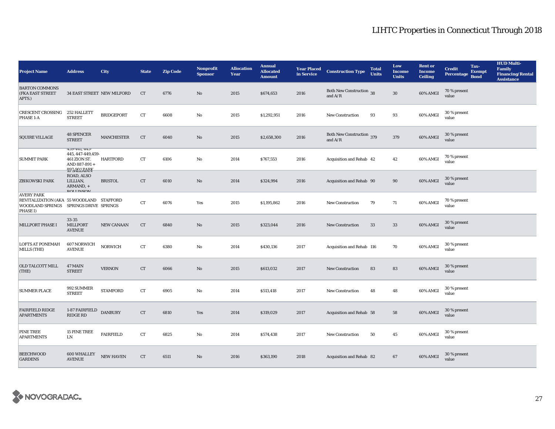| <b>Project Name</b>                                                                                                        | <b>Address</b>                                                                             | City                       | <b>State</b> | <b>Zip Code</b> | <b>Nonprofit</b><br><b>Sponsor</b> | <b>Allocation</b><br>Year | <b>Annual</b><br><b>Allocated</b><br><b>Amount</b> | <b>Year Placed</b><br>in Service | <b>Construction Type</b>               | <b>Total</b><br><b>Units</b> | Low<br><b>Income</b><br><b>Units</b> | <b>Rent or</b><br><b>Income</b><br><b>Ceiling</b> | <b>Credit</b><br><b>Percentage</b> | Tax-<br><b>Exempt</b><br><b>Bond</b> | <b>HUD Multi-</b><br><b>Family</b><br><b>Financing/Rental</b><br><b>Assistance</b> |
|----------------------------------------------------------------------------------------------------------------------------|--------------------------------------------------------------------------------------------|----------------------------|--------------|-----------------|------------------------------------|---------------------------|----------------------------------------------------|----------------------------------|----------------------------------------|------------------------------|--------------------------------------|---------------------------------------------------|------------------------------------|--------------------------------------|------------------------------------------------------------------------------------|
| <b>BARTON COMMONS</b><br>(FKA EAST STREET<br>APTS.)                                                                        |                                                                                            | 34 EAST STREET NEW MILFORD | CT           | 6776            | $\rm No$                           | 2015                      | \$674,653                                          | 2016                             | Both New Construction 38<br>and $A/R$  |                              | $30\,$                               | 60% AMGI                                          | 70 % present<br>value              |                                      |                                                                                    |
| <b>CRESCENT CROSSING</b><br><b>PHASE 1-A</b>                                                                               | 252 HALLETT<br><b>STREET</b>                                                               | <b>BRIDGEPORT</b>          | ${\rm CT}$   | 6608            | $\mathbf{No}$                      | 2015                      | \$1,292,951                                        | 2016                             | <b>New Construction</b>                | 93                           | 93                                   | 60% AMGI                                          | 30 % present<br>value              |                                      |                                                                                    |
| <b>SQUIRE VILLAGE</b>                                                                                                      | <b>48 SPENCER</b><br><b>STREET</b>                                                         | <b>MANCHESTER</b>          | CT           | 6040            | $\rm No$                           | 2015                      | \$2,658,300                                        | 2016                             | Both New Construction 379<br>and $A/R$ |                              | 379                                  | 60% AMGI                                          | 30 % present<br>value              |                                      |                                                                                    |
| <b>SUMMIT PARK</b>                                                                                                         | 439-441, 443-<br>445, 447-449, 459-<br>461 ZION ST.<br>AND 887-891+<br><b>803 QOLBADIY</b> | HARTFORD                   | CT           | 6106            | $\mathbf{No}$                      | 2014                      | \$767,553                                          | 2016                             | Acquisition and Rehab 42               |                              | 42                                   | 60% AMGI                                          | 70 % present<br>value              |                                      |                                                                                    |
| <b>ZBIKOWSKI PARK</b>                                                                                                      | ROAD, ALSO<br>LILLIAN,<br>ARMAND, +<br><b>DOLLINGON</b>                                    | <b>BRISTOL</b>             | CT           | 6010            | $\rm No$                           | 2014                      | \$324,994                                          | 2016                             | Acquisition and Rehab 90               |                              | 90                                   | 60% AMGI                                          | 30 % present<br>value              |                                      |                                                                                    |
| <b>AVERY PARK</b><br>REVITALIZATION (AKA 55 WOODLAND STAFFORD<br>WOODLAND SPRINGS SPRINGS DRIVE SPRINGS<br><b>PHASE I)</b> |                                                                                            |                            | CT           | 6076            | Yes                                | 2015                      | \$1,195,862                                        | 2016                             | <b>New Construction</b>                | 79                           | 71                                   | 60% AMGI                                          | 70 % present<br>value              |                                      |                                                                                    |
| <b>MILLPORT PHASE I</b>                                                                                                    | 33-35<br>MILLPORT<br><b>AVENUE</b>                                                         | <b>NEW CANAAN</b>          | CT           | 6840            | $\rm No$                           | 2015                      | \$323,044                                          | 2016                             | New Construction                       | 33                           | 33                                   | 60% AMGI                                          | 30 % present<br>value              |                                      |                                                                                    |
| <b>LOFTS AT PONEMAH</b><br>MILLS (THE)                                                                                     | 607 NORWICH<br><b>AVENUE</b>                                                               | <b>NORWICH</b>             | CT           | 6380            | No                                 | 2014                      | \$430,136                                          | 2017                             | Acquisition and Rehab 116              |                              | 70                                   | 60% AMGI                                          | 30 % present<br>value              |                                      |                                                                                    |
| <b>OLD TALCOTT MILL</b><br>(THE)                                                                                           | 47 MAIN<br><b>STREET</b>                                                                   | <b>VERNON</b>              | CT           | 6066            | $\rm No$                           | 2015                      | \$613,032                                          | 2017                             | New Construction                       | 83                           | 83                                   | 60% AMGI                                          | 30 % present<br>value              |                                      |                                                                                    |
| <b>SUMMER PLACE</b>                                                                                                        | 992 SUMMER<br><b>STREET</b>                                                                | <b>STAMFORD</b>            | ${\rm CT}$   | 6905            | $\mathbf{No}$                      | 2014                      | \$513,418                                          | 2017                             | <b>New Construction</b>                | 48                           | 48                                   | 60% AMGI                                          | 30 % present<br>value              |                                      |                                                                                    |
| <b>FAIRFIELD RIDGE</b><br><b>APARTMENTS</b>                                                                                | 1-87 FAIRFIELD<br><b>RIDGE RD</b>                                                          | <b>DANBURY</b>             | CT           | 6810            | Yes                                | 2014                      | \$319,029                                          | 2017                             | Acquisition and Rehab 58               |                              | 58                                   | 60% AMGI                                          | 30 % present<br>value              |                                      |                                                                                    |
| <b>PINE TREE</b><br><b>APARTMENTS</b>                                                                                      | <b>15 PINE TREE</b><br>LN                                                                  | <b>FAIRFIELD</b>           | ${\rm CT}$   | 6825            | $\mathbf{No}$                      | 2014                      | \$574,438                                          | 2017                             | New Construction                       | 50                           | $45\,$                               | 60% AMGI                                          | 30 % present<br>value              |                                      |                                                                                    |
| <b>BEECHWOOD</b><br><b>GARDENS</b>                                                                                         | 600 WHALLEY<br><b>AVENUE</b>                                                               | <b>NEW HAVEN</b>           | CT           | 6511            | No                                 | 2016                      | \$363,190                                          | 2018                             | Acquisition and Rehab 82               |                              | 67                                   | 60% AMGI                                          | 30 % present<br>value              |                                      |                                                                                    |